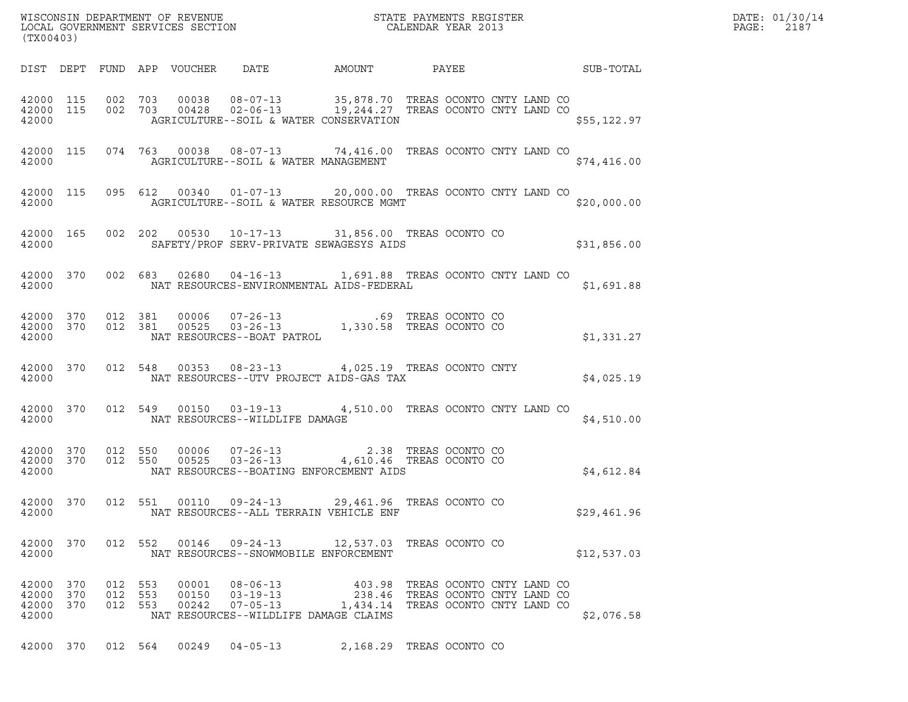|                                              | (TX00403) |                               |  |       |                                                                                                                                                                                                                                                                              |                                                                      |  |  |  |  |  | DATE: 01/30/14<br>PAGE:<br>2187 |  |
|----------------------------------------------|-----------|-------------------------------|--|-------|------------------------------------------------------------------------------------------------------------------------------------------------------------------------------------------------------------------------------------------------------------------------------|----------------------------------------------------------------------|--|--|--|--|--|---------------------------------|--|
|                                              |           |                               |  |       | DIST DEPT FUND APP VOUCHER DATE AMOUNT PAYEE SUB-TOTAL                                                                                                                                                                                                                       |                                                                      |  |  |  |  |  |                                 |  |
|                                              |           |                               |  |       | $\begin{array}{cccccc} 42000 & 115 & 002 & 703 & 00038 & 08-07-13 & 35,878.70 & \text{TREAS OCONTO CNTY LAND CO} \\ 42000 & 115 & 002 & 703 & 00428 & 02-06-13 & 19,244.27 & \text{TREAS OCONTO CNTY LAND CO} \end{array}$<br>42000   AGRICULTURE--SOIL & WATER CONSERVATION |                                                                      |  |  |  |  |  | \$55,122.97                     |  |
|                                              |           |                               |  |       | 42000 115 074 763 00038 08-07-13 74,416.00 TREAS OCONTO CNTY LAND CO<br>42000 AGRICULTURE--SOIL & WATER MANAGEMENT                                                                                                                                                           |                                                                      |  |  |  |  |  | \$74,416.00                     |  |
|                                              |           |                               |  |       | 42000 115 095 612 00340 01-07-13 20,000.00 TREAS OCONTO CNTY LAND CO<br>42000 AGRICULTURE--SOIL & WATER RESOURCE MGMT                                                                                                                                                        |                                                                      |  |  |  |  |  | \$20,000.00                     |  |
|                                              |           |                               |  |       | 42000 165 002 202 00530 10-17-13 31,856.00 TREAS OCONTO CO<br>42000 SAFETY/PROF SERV-PRIVATE SEWAGESYS AIDS                                                                                                                                                                  |                                                                      |  |  |  |  |  | \$31,856.00                     |  |
|                                              |           |                               |  |       | 42000 370 002 683 02680 04-16-13 1,691.88 TREAS OCONTO CNTY LAND CO<br>42000 NAT RESOURCES-ENVIRONMENTAL AIDS-FEDERAL                                                                                                                                                        |                                                                      |  |  |  |  |  | \$1,691.88                      |  |
|                                              |           |                               |  |       | $\begin{tabular}{lcccc} 42000 & 370 & 012 & 381 & 00006 & 07-26-13 & .69 TREAS OCONTO CO \\ 42000 & 370 & 012 & 381 & 00525 & 03-26-13 & 1,330.58 TREAS OCONTO CO \\ 42000 & \text{NAT RESOURCES--BOAT PATROL \end{tabular}$                                                 |                                                                      |  |  |  |  |  | \$1,331.27                      |  |
|                                              |           |                               |  |       | 42000 370 012 548 00353 08-23-13 4,025.19 TREAS OCONTO CNTY<br>42000 NAT RESOURCES--UTV PROJECT AIDS-GAS TAX                                                                                                                                                                 |                                                                      |  |  |  |  |  | \$4,025.19                      |  |
|                                              |           |                               |  |       | 42000 370 012 549 00150 03-19-13 4,510.00 TREAS OCONTO CNTY LAND CO<br>42000 NAT RESOURCES--WILDLIFE DAMAGE                                                                                                                                                                  |                                                                      |  |  |  |  |  | \$4,510.00                      |  |
| 42000                                        |           |                               |  |       | $\begin{array}{cccccc} 42000 & 370 & 012 & 550 & 00006 & 07-26-13 & & & 2.38 & \text{TREAS OCONTO CO} \\ 42000 & 370 & 012 & 550 & 00525 & 03-26-13 & & 4,610.46 & \text{TREAS OCONTO CO} \end{array}$<br>NAT RESOURCES--BOATING ENFORCEMENT AIDS                            |                                                                      |  |  |  |  |  | \$4,612.84                      |  |
| 42000                                        |           |                               |  |       | 42000 370 012 551 00110 09-24-13 29,461.96 TREAS OCONTO CO<br>NAT RESOURCES--ALL TERRAIN VEHICLE ENF                                                                                                                                                                         |                                                                      |  |  |  |  |  | \$29,461.96                     |  |
| 42000 370<br>42000                           |           |                               |  |       | 012 552 00146 09-24-13 12,537.03 TREAS OCONTO CO<br>NAT RESOURCES--SNOWMOBILE ENFORCEMENT                                                                                                                                                                                    |                                                                      |  |  |  |  |  | \$12,537.03                     |  |
| 42000 370<br>42000 370<br>42000 370<br>42000 |           | 012 553<br>012 553<br>012 553 |  | 00242 | $07-05-13$ 1,434.14 TREAS OCONTO CNTY LAND CO<br>NAT RESOURCES--WILDLIFE DAMAGE CLAIMS                                                                                                                                                                                       | 403.98 TREAS OCONTO CNTY LAND CO<br>238.46 TREAS OCONTO CNTY LAND CO |  |  |  |  |  | \$2,076.58                      |  |
|                                              |           |                               |  |       | 42000 370 012 564 00249 04-05-13 2,168.29 TREAS OCONTO CO                                                                                                                                                                                                                    |                                                                      |  |  |  |  |  |                                 |  |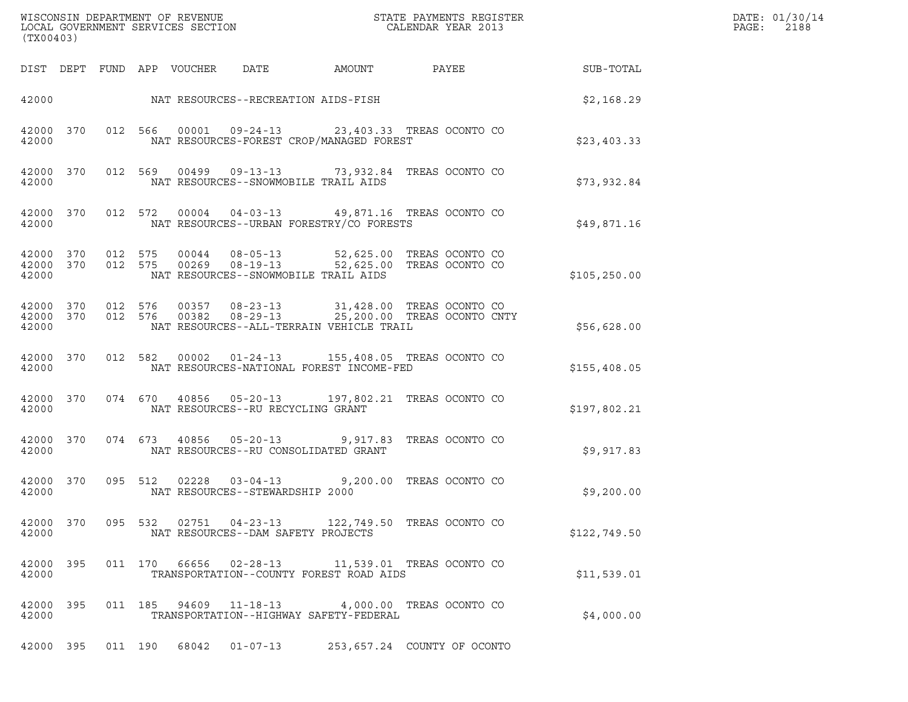| (TX00403)          |           |         |               |                                   |                                           |                                                                                                                                                                                                |               |
|--------------------|-----------|---------|---------------|-----------------------------------|-------------------------------------------|------------------------------------------------------------------------------------------------------------------------------------------------------------------------------------------------|---------------|
|                    |           |         |               |                                   | DIST DEPT FUND APP VOUCHER DATE AMOUNT    | PAYEE SUB-TOTAL                                                                                                                                                                                |               |
|                    |           |         |               |                                   | 42000 NAT RESOURCES--RECREATION AIDS-FISH |                                                                                                                                                                                                | \$2,168.29    |
| 42000              |           |         |               |                                   | NAT RESOURCES-FOREST CROP/MANAGED FOREST  | 42000 370 012 566 00001 09-24-13 23,403.33 TREAS OCONTO CO                                                                                                                                     | \$23,403.33   |
| 42000              | 42000 370 |         |               |                                   | NAT RESOURCES--SNOWMOBILE TRAIL AIDS      | 012 569 00499 09-13-13 73,932.84 TREAS OCONTO CO                                                                                                                                               | \$73,932.84   |
| 42000              | 42000 370 |         |               |                                   | NAT RESOURCES--URBAN FORESTRY/CO FORESTS  | 012 572 00004 04-03-13 49,871.16 TREAS OCONTO CO                                                                                                                                               | \$49,871.16   |
| 42000 370<br>42000 | 42000 370 |         |               |                                   | NAT RESOURCES--SNOWMOBILE TRAIL AIDS      | 012 575 00044 08-05-13 52,625.00 TREAS OCONTO CO<br>012 575 00269 08-19-13 52,625.00 TREAS OCONTO CO                                                                                           | \$105, 250.00 |
| 42000              |           |         |               |                                   | NAT RESOURCES--ALL-TERRAIN VEHICLE TRAIL  | $\begin{array}{cccccccc} 42000& 370& 012& 576& 00357& 08-23-13& 31,428.00 & \text{TREAS OCONTO CO} \\ 42000& 370& 012& 576& 00382& 08-29-13& 25,200.00 & \text{TREAS OCONTO CNTY} \end{array}$ | \$56,628.00   |
| 42000              |           |         |               |                                   | NAT RESOURCES-NATIONAL FOREST INCOME-FED  | 42000 370 012 582 00002 01-24-13 155,408.05 TREAS OCONTO CO                                                                                                                                    | \$155,408.05  |
| 42000              |           |         |               | NAT RESOURCES--RU RECYCLING GRANT |                                           | 42000 370 074 670 40856 05-20-13 197,802.21 TREAS OCONTO CO                                                                                                                                    | \$197,802.21  |
| 42000              |           |         |               |                                   | NAT RESOURCES--RU CONSOLIDATED GRANT      | 42000 370 074 673 40856 05-20-13 9,917.83 TREAS OCONTO CO                                                                                                                                      | \$9,917.83    |
| 42000              |           |         |               | NAT RESOURCES--STEWARDSHIP 2000   |                                           | 42000 370 095 512 02228 03-04-13 9,200.00 TREAS OCONTO CO                                                                                                                                      | \$9,200.00    |
| 42000              | 42000 370 |         |               |                                   | NAT RESOURCES--DAM SAFETY PROJECTS        | 095 532 02751 04-23-13 122,749.50 TREAS OCONTO CO                                                                                                                                              | \$122,749.50  |
| 42000 395<br>42000 |           |         |               |                                   | TRANSPORTATION--COUNTY FOREST ROAD AIDS   | 011  170  66656  02-28-13   11,539.01  TREAS OCONTO CO                                                                                                                                         | \$11,539.01   |
| 42000 395<br>42000 |           |         | 011 185 94609 | $11 - 18 - 13$                    | TRANSPORTATION--HIGHWAY SAFETY-FEDERAL    | 4,000.00 TREAS OCONTO CO                                                                                                                                                                       | \$4,000.00    |
| 42000 395          |           | 011 190 | 68042         | $01 - 07 - 13$                    |                                           | 253, 657.24 COUNTY OF OCONTO                                                                                                                                                                   |               |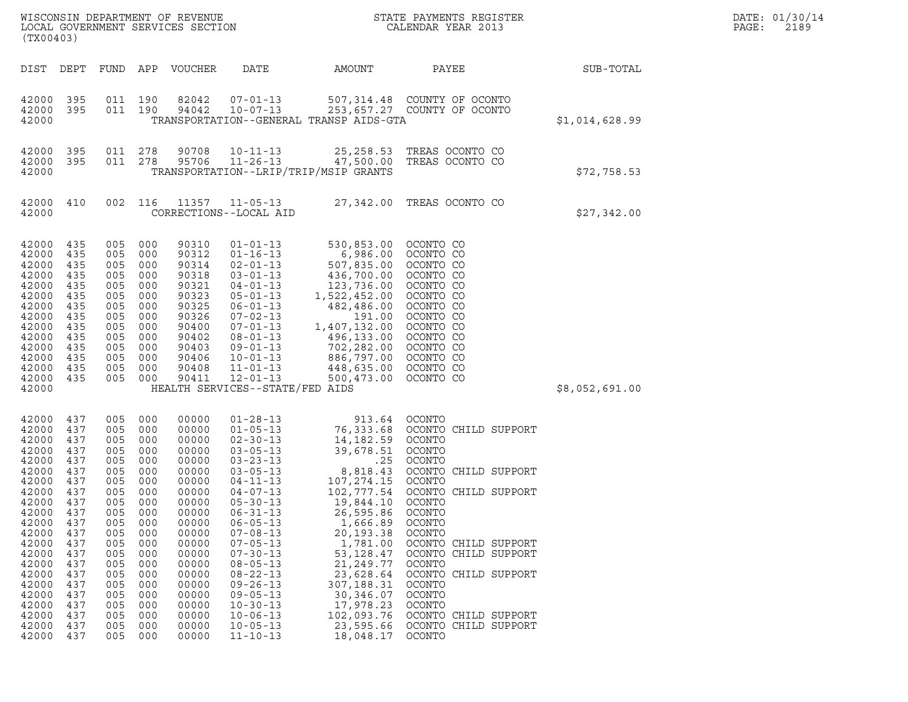|       | DATE: 01/30/14 |
|-------|----------------|
| PAGE: | 2189           |

| (TX00403)                                                                                                                                                               |                                                                                                                                   |                                                                                                                            |                                                                                                                                       | WISCONSIN DEPARTMENT OF REVENUE<br>LOCAL GOVERNMENT SERVICES SECTION                                                                                                    |                                                                                                                                                                                                                                                                                                                                              |                                                                                                                                                                                                                                            | STATE PAYMENTS REGISTER<br>CALENDAR YEAR 2013                                                                                                                                                                                                                                  |                | DATE: 01/30/14<br>2189<br>PAGE: |
|-------------------------------------------------------------------------------------------------------------------------------------------------------------------------|-----------------------------------------------------------------------------------------------------------------------------------|----------------------------------------------------------------------------------------------------------------------------|---------------------------------------------------------------------------------------------------------------------------------------|-------------------------------------------------------------------------------------------------------------------------------------------------------------------------|----------------------------------------------------------------------------------------------------------------------------------------------------------------------------------------------------------------------------------------------------------------------------------------------------------------------------------------------|--------------------------------------------------------------------------------------------------------------------------------------------------------------------------------------------------------------------------------------------|--------------------------------------------------------------------------------------------------------------------------------------------------------------------------------------------------------------------------------------------------------------------------------|----------------|---------------------------------|
| DIST                                                                                                                                                                    | DEPT                                                                                                                              | FUND                                                                                                                       |                                                                                                                                       | APP VOUCHER                                                                                                                                                             | DATE                                                                                                                                                                                                                                                                                                                                         | AMOUNT                                                                                                                                                                                                                                     | PAYEE                                                                                                                                                                                                                                                                          | SUB-TOTAL      |                                 |
| 42000<br>42000<br>42000                                                                                                                                                 | 395<br>395                                                                                                                        |                                                                                                                            | 011 190<br>011 190                                                                                                                    | 82042<br>94042                                                                                                                                                          | $07 - 01 - 13$<br>$10 - 07 - 13$                                                                                                                                                                                                                                                                                                             | TRANSPORTATION--GENERAL TRANSP AIDS-GTA                                                                                                                                                                                                    | 507,314.48 COUNTY OF OCONTO<br>253,657.27 COUNTY OF OCONTO                                                                                                                                                                                                                     | \$1,014,628.99 |                                 |
| 42000<br>42000<br>42000                                                                                                                                                 | 395<br>395                                                                                                                        | 011                                                                                                                        | 278<br>011 278                                                                                                                        | 90708<br>95706                                                                                                                                                          | $10 - 11 - 13$<br>$11 - 26 - 13$                                                                                                                                                                                                                                                                                                             | 47,500.00<br>TRANSPORTATION--LRIP/TRIP/MSIP GRANTS                                                                                                                                                                                         | 25, 258.53 TREAS OCONTO CO<br>TREAS OCONTO CO                                                                                                                                                                                                                                  | \$72,758.53    |                                 |
| 42000 410<br>42000                                                                                                                                                      |                                                                                                                                   |                                                                                                                            | 002 116                                                                                                                               | 11357                                                                                                                                                                   | 11-05-13<br>CORRECTIONS--LOCAL AID                                                                                                                                                                                                                                                                                                           |                                                                                                                                                                                                                                            | 27,342.00 TREAS OCONTO CO                                                                                                                                                                                                                                                      | \$27,342.00    |                                 |
| 42000<br>42000<br>42000<br>42000<br>42000<br>42000<br>42000<br>42000<br>42000<br>42000<br>42000<br>42000<br>42000<br>42000<br>42000                                     | 435<br>435<br>435<br>435<br>435<br>435<br>435<br>435<br>435<br>435<br>435<br>435<br>435<br>435                                    | 005<br>005<br>005<br>005<br>005<br>005<br>005<br>005<br>005<br>005<br>005<br>005<br>005<br>005                             | 000<br>000<br>000<br>000<br>000<br>000<br>000<br>000<br>000<br>000<br>000<br>000<br>000<br>000                                        | 90310<br>90312<br>90314<br>90318<br>90321<br>90323<br>90325<br>90326<br>90400<br>90402<br>90403<br>90406<br>90408<br>90411                                              | $01 - 01 - 13$<br>$01 - 16 - 13$<br>$02 - 01 - 13$<br>$03 - 01 - 13$<br>$04 - 01 - 13$<br>$05 - 01 - 13$<br>$06 - 01 - 13$<br>$07 - 02 - 13$<br>07-01-13<br>$08 - 01 - 13$<br>$09 - 01 - 13$<br>$10 - 01 - 13$<br>$11 - 01 - 13$<br>$12 - 01 - 13$<br>HEALTH SERVICES--STATE/FED AIDS                                                        | 530,853.00 OCONTO CO<br>6,986.00<br>507,835.00<br>436,700.00<br>123,736.00<br>1,522,452.00<br>482,486.00<br>191.00<br>1,407,132.00<br>496,133.00<br>702,282.00<br>886,797.00<br>448,635.00<br>500,473.00                                   | OCONTO CO<br>OCONTO CO<br>OCONTO CO<br>OCONTO CO<br>OCONTO CO<br>OCONTO CO<br>OCONTO CO<br>OCONTO CO<br>OCONTO CO<br>OCONTO CO<br>OCONTO CO<br>OCONTO CO<br>OCONTO CO                                                                                                          | \$8,052,691.00 |                                 |
| 42000<br>42000<br>42000<br>42000<br>42000<br>42000<br>42000<br>42000<br>42000<br>42000<br>42000<br>42000<br>42000<br>42000<br>42000<br>42000<br>42000<br>42000<br>42000 | 437<br>437<br>437<br>437<br>437<br>437<br>437<br>437<br>437<br>437<br>437<br>437<br>437<br>437<br>437<br>437<br>437<br>437<br>437 | 005<br>005<br>005<br>005<br>005<br>005<br>005<br>005<br>005<br>005<br>005<br>005<br>005<br>005<br>005<br>005<br>005<br>005 | 000<br>000<br>000<br>000<br>000<br>000<br>000<br>000<br>000<br>000<br>000<br>000<br>000<br>000<br>000<br>000<br>000<br>000<br>005 000 | 00000<br>00000<br>00000<br>00000<br>00000<br>00000<br>00000<br>00000<br>00000<br>00000<br>00000<br>00000<br>00000<br>00000<br>00000<br>00000<br>00000<br>00000<br>00000 | $01 - 28 - 13$<br>$01 - 05 - 13$<br>$02 - 30 - 13$<br>$03 - 05 - 13$<br>$03 - 23 - 13$<br>$03 - 05 - 13$<br>04-11-13<br>$04 - 07 - 13$<br>$05 - 30 - 13$<br>$06 - 31 - 13$<br>$06 - 05 - 13$<br>$07 - 08 - 13$<br>$07 - 05 - 13$<br>$07 - 30 - 13$<br>$08 - 05 - 13$<br>$08 - 22 - 13$<br>$09 - 26 - 13$<br>$09 - 05 - 13$<br>$10 - 30 - 13$ | 913.64<br>76,333.68<br>14,182.59<br>39,678.51<br>.25<br>8,818.43<br>107,274.15<br>102,777.54<br>19,844.10<br>26,595.86<br>1,666.89<br>20,193.38<br>1,781.00<br>53,128.47<br>21,249.77<br>23,628.64<br>307,188.31<br>30,346.07<br>17,978.23 | OCONTO<br>OCONTO CHILD SUPPORT<br>OCONTO<br>OCONTO<br>OCONTO<br>OCONTO CHILD SUPPORT<br>OCONTO<br>OCONTO CHILD SUPPORT<br>OCONTO<br>OCONTO<br>OCONTO<br>OCONTO<br>OCONTO CHILD SUPPORT<br>OCONTO CHILD SUPPORT<br>OCONTO<br>OCONTO CHILD SUPPORT<br>OCONTO<br>OCONTO<br>OCONTO |                |                                 |

 $42000$   $437$  005 000 00000 08-22-13 23,628.64 OCONTO CH:<br>  $42000$   $437$  005 000 00000 09-26-13 307,188.31 OCONTO<br>  $42000$   $437$  005 000 00000 09-05-13 30,346.07 OCONTO<br>  $42000$   $437$  005 000 00000 10-30-13 17,978.23 OCON

 $42000$   $437$  005 000 00000 10-30-13 17,978.23 OCONTO<br>  $42000$   $437$  005 000 00000 10-06-13 102,093.76 OCONTO<br>  $42000$   $437$  005 000 00000 10-05-13 23,595.66 OCONTO<br>  $42000$   $437$  005 000 00000 11-10-13 18,048.17 OCONTO

 $42000$   $437$  005 000 00000 09-26-13 307,188.31 OCONTO<br> $42000$   $437$  005 000 00000 09-05-13 30,346.07 OCONTO<br> $42000$   $437$  005 000 00000 10-36-13 17,978.23 OCONTO<br> $42000$   $437$  005 000 00000 10-06-13 102,093.76 OCONTO CHI  $42000$   $437$  005 000 00000 09-05-13 30,346.07 OCONTO<br> $42000$   $437$  005 000 00000 10-30-13 17,978.23 OCONTO<br> $42000$   $437$  005 000 00000 10-06-13 102,093.76 OCONTO CHILD SUPPORT<br> $42000$   $437$  005 000 00000 10-05-13 23,595.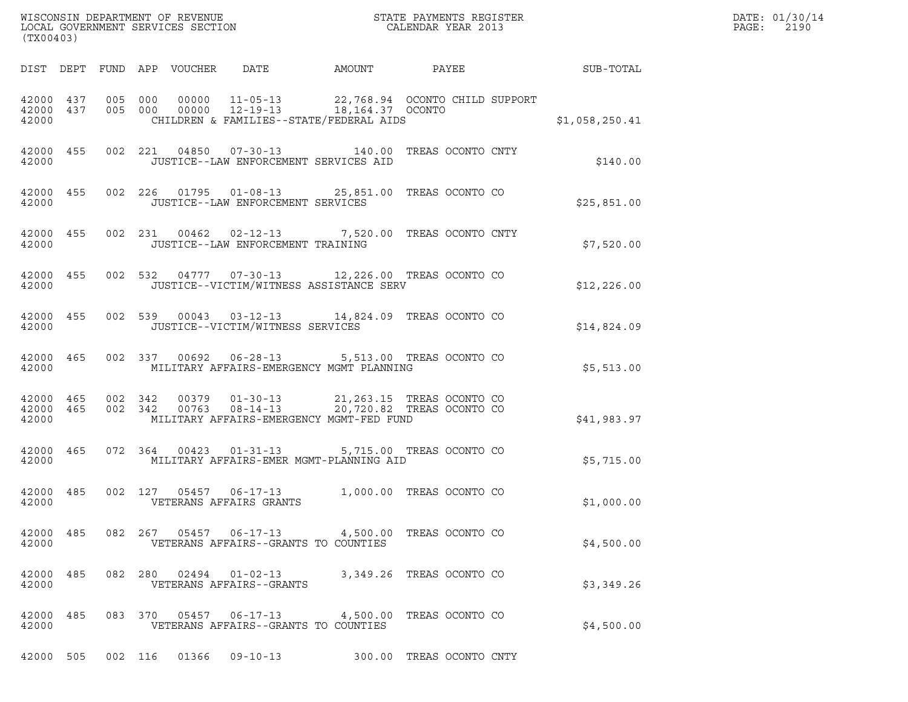| (TX00403) |  |                                                                                                                                                                                                                   |  |                                                           |             | DATE: 01/30/14<br>PAGE: 2190 |
|-----------|--|-------------------------------------------------------------------------------------------------------------------------------------------------------------------------------------------------------------------|--|-----------------------------------------------------------|-------------|------------------------------|
|           |  |                                                                                                                                                                                                                   |  | DIST DEPT FUND APP VOUCHER DATE AMOUNT PAYEE SUB-TOTAL    |             |                              |
| 42000     |  | $\begin{array}{cccccccc} 42000& 437& 005& 000& 00000& 11\mbox{-}05\mbox{-}13& 22,768.94& \mbox{OCONTO CHILD SUPPORT}\\ 42000& 437& 005& 000& 00000& 12\mbox{-}19\mbox{-}13& 18,164.37& \mbox{OCONTO} \end{array}$ |  | CHILDREN & FAMILIES--STATE/FEDERAL AIDS<br>\$1,058,250.41 |             |                              |
| 42000     |  | 42000 455 002 221 04850 07-30-13 140.00 TREAS OCONTO CNTY<br>JUSTICE--LAW ENFORCEMENT SERVICES AID                                                                                                                |  |                                                           | \$140.00    |                              |
| 42000     |  | 42000 455 002 226 01795 01-08-13 25,851.00 TREAS OCONTO CO<br>JUSTICE--LAW ENFORCEMENT SERVICES                                                                                                                   |  |                                                           | \$25,851.00 |                              |
| 42000     |  | 42000 455 002 231 00462 02-12-13 7,520.00 TREAS OCONTO CNTY<br>JUSTICE--LAW ENFORCEMENT TRAINING                                                                                                                  |  | \$7,520.00                                                |             |                              |
| 42000     |  | 42000 455 002 532 04777 07-30-13 12,226.00 TREAS OCONTO CO<br>JUSTICE--VICTIM/WITNESS ASSISTANCE SERV                                                                                                             |  |                                                           | \$12,226.00 |                              |
| 42000     |  | 42000 455 002 539 00043 03-12-13 14,824.09 TREAS OCONTO CO<br>JUSTICE--VICTIM/WITNESS SERVICES                                                                                                                    |  |                                                           | \$14,824.09 |                              |
| 42000     |  | 42000 465 002 337 00692 06-28-13 5,513.00 TREAS OCONTO CO<br>MILITARY AFFAIRS-EMERGENCY MGMT PLANNING                                                                                                             |  |                                                           | \$5,513.00  |                              |
| 42000     |  | 42000 465 002 342 00379 01-30-13 21,263.15 TREAS OCONTO CO 42000 465 002 342 00763 08-14-13 20,720.82 TREAS OCONTO CO<br>MILITARY AFFAIRS-EMERGENCY MGMT-FED FUND                                                 |  |                                                           | \$41,983.97 |                              |
| 42000     |  | 42000 465 072 364 00423 01-31-13 5,715.00 TREAS OCONTO CO<br>MILITARY AFFAIRS-EMER MGMT-PLANNING AID                                                                                                              |  |                                                           | \$5,715.00  |                              |
| 42000     |  | 42000 485 002 127 05457 06-17-13 1,000.00 TREAS OCONTO CO<br>VETERANS AFFAIRS GRANTS                                                                                                                              |  |                                                           | \$1,000.00  |                              |
| 42000     |  | 42000 485 082 267 05457 06-17-13 4,500.00 TREAS OCONTO CO<br>VETERANS AFFAIRS--GRANTS TO COUNTIES                                                                                                                 |  |                                                           | \$4,500.00  |                              |
| 42000     |  | 42000 485 082 280 02494 01-02-13 3,349.26 TREAS OCONTO CO<br>VETERANS AFFAIRS--GRANTS                                                                                                                             |  |                                                           | \$3,349.26  |                              |
| 42000     |  | 42000 485 083 370 05457 06-17-13 4,500.00 TREAS OCONTO CO<br>VETERANS AFFAIRS--GRANTS TO COUNTIES                                                                                                                 |  |                                                           | \$4,500.00  |                              |
|           |  | 42000 505 002 116 01366 09-10-13 300.00 TREAS OCONTO CNTY                                                                                                                                                         |  |                                                           |             |                              |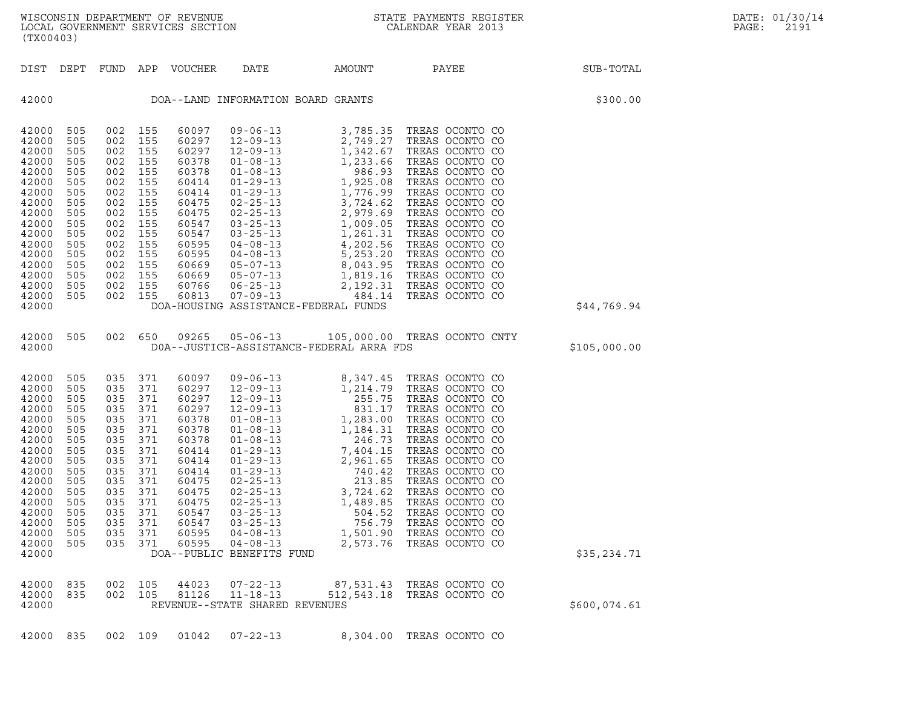| (TX00403)                                                                                                                                                      |                                                                                                                     |                                                                                                                          |                                                                                                                     |                                                                                                                                                       |                                                                                                                                       |                                                      |                                                                                                                                                                                                                                                                                                                                          |              | DATE: 01/30/14<br>PAGE:<br>2191 |
|----------------------------------------------------------------------------------------------------------------------------------------------------------------|---------------------------------------------------------------------------------------------------------------------|--------------------------------------------------------------------------------------------------------------------------|---------------------------------------------------------------------------------------------------------------------|-------------------------------------------------------------------------------------------------------------------------------------------------------|---------------------------------------------------------------------------------------------------------------------------------------|------------------------------------------------------|------------------------------------------------------------------------------------------------------------------------------------------------------------------------------------------------------------------------------------------------------------------------------------------------------------------------------------------|--------------|---------------------------------|
|                                                                                                                                                                |                                                                                                                     |                                                                                                                          |                                                                                                                     | DIST DEPT FUND APP VOUCHER                                                                                                                            | DATE                                                                                                                                  | AMOUNT                                               | PAYEE                                                                                                                                                                                                                                                                                                                                    | SUB-TOTAL    |                                 |
| 42000                                                                                                                                                          |                                                                                                                     |                                                                                                                          |                                                                                                                     |                                                                                                                                                       | DOA--LAND INFORMATION BOARD GRANTS                                                                                                    |                                                      |                                                                                                                                                                                                                                                                                                                                          | \$300.00     |                                 |
| 42000<br>42000<br>42000<br>42000<br>42000<br>42000<br>42000<br>42000<br>42000<br>42000<br>42000<br>42000<br>42000<br>42000<br>42000<br>42000<br>42000<br>42000 | 505<br>505<br>505<br>505<br>505<br>505<br>505<br>505<br>505<br>505<br>505<br>505<br>505<br>505<br>505<br>505<br>505 | 002<br>002 155<br>002<br>002<br>002<br>002<br>002<br>002<br>002<br>002<br>002<br>002<br>002<br>002 155<br>002<br>002 155 | 155<br>155<br>155<br>155<br>155<br>155<br>155<br>155<br>155<br>155<br>155<br>155<br>155<br>002 155                  | 60097<br>60297<br>60297<br>60378<br>60378<br>60414<br>60414<br>60475<br>60475<br>60547<br>60547<br>60595<br>60595<br>60669<br>60669<br>60766<br>60813 | DOA-HOUSING ASSISTANCE-FEDERAL FUNDS                                                                                                  |                                                      |                                                                                                                                                                                                                                                                                                                                          | \$44,769.94  |                                 |
| 42000<br>42000                                                                                                                                                 | 505                                                                                                                 |                                                                                                                          | 002 650                                                                                                             | 09265                                                                                                                                                 | $05 - 06 - 13$<br>DOA--JUSTICE-ASSISTANCE-FEDERAL ARRA FDS                                                                            |                                                      | 105,000.00 TREAS OCONTO CNTY                                                                                                                                                                                                                                                                                                             | \$105,000.00 |                                 |
| 42000<br>42000<br>42000<br>42000<br>42000<br>42000<br>42000<br>42000<br>42000<br>42000<br>42000<br>42000<br>42000<br>42000<br>42000<br>42000<br>42000<br>42000 | 505<br>505<br>505<br>505<br>505<br>505<br>505<br>505<br>505<br>505<br>505<br>505<br>505<br>505<br>505<br>505<br>505 | 035<br>035<br>035<br>035<br>035<br>035<br>035<br>035<br>035<br>035<br>035<br>035<br>035<br>035<br>035<br>035<br>035      | 371<br>371<br>371<br>371<br>371<br>371<br>371<br>371<br>371<br>371<br>371<br>371<br>371<br>371<br>371<br>371<br>371 | 60097<br>60297<br>60297<br>60297<br>60378<br>60378<br>60378<br>60414<br>60414<br>60414<br>60475<br>60475<br>60475<br>60547<br>60547<br>60595<br>60595 | $02 - 25 - 13$<br>$02 - 25 - 13$<br>$03 - 25 - 13$<br>$03 - 25 - 13$<br>$04 - 08 - 13$<br>$04 - 08 - 13$<br>DOA--PUBLIC BENEFITS FUND | 3,724.62<br>1,489.85<br>504.52<br>756.79<br>2,573.76 | TREAS OCONTO CO<br>TREAS OCONTO CO<br>TREAS OCONTO CO<br>TREAS OCONTO CO<br>TREAS OCONTO CO<br>TREAS OCONTO CO<br>TREAS OCONTO CO<br>TREAS OCONTO CO<br>TREAS OCONTO CO<br>TREAS OCONTO CO<br>TREAS OCONTO CO<br>TREAS OCONTO CO<br>TREAS OCONTO CO<br>TREAS OCONTO CO<br>TREAS OCONTO CO<br>1,501.90 TREAS OCONTO CO<br>TREAS OCONTO CO | \$35,234.71  |                                 |
| 42000<br>42000<br>42000                                                                                                                                        | 835<br>835                                                                                                          | 002<br>002                                                                                                               | 105<br>105                                                                                                          | 44023<br>81126                                                                                                                                        | $07 - 22 - 13$<br>$11 - 18 - 13$<br>REVENUE--STATE SHARED REVENUES                                                                    | 87,531.43<br>512, 543.18                             | TREAS OCONTO CO<br>TREAS OCONTO CO                                                                                                                                                                                                                                                                                                       | \$600,074.61 |                                 |
| 42000                                                                                                                                                          | 835                                                                                                                 |                                                                                                                          | 002 109                                                                                                             | 01042                                                                                                                                                 | $07 - 22 - 13$                                                                                                                        |                                                      | 8,304.00 TREAS OCONTO CO                                                                                                                                                                                                                                                                                                                 |              |                                 |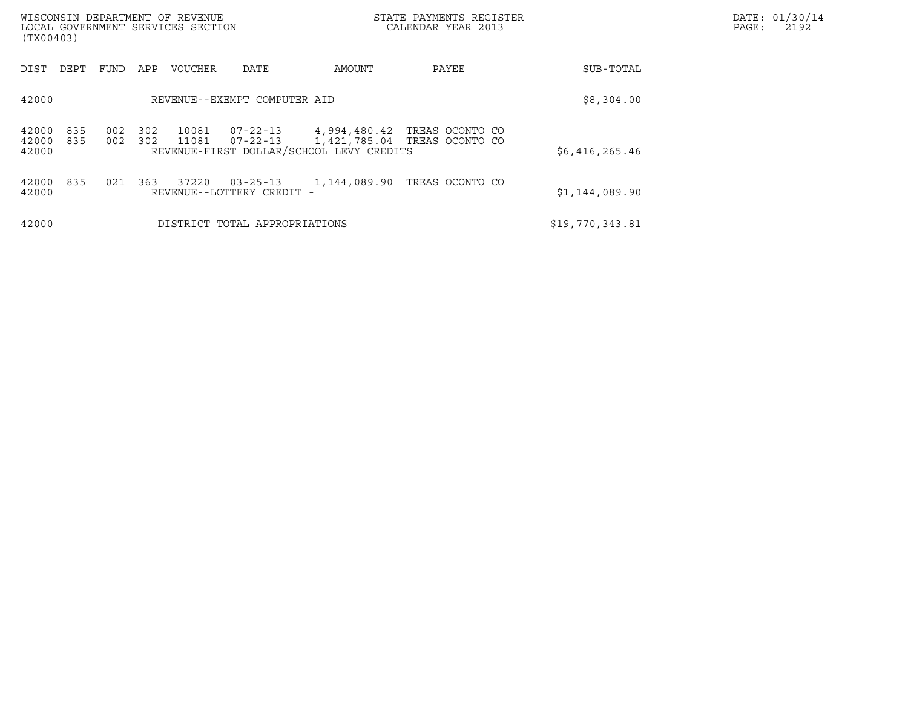| WISCONSIN DEPARTMENT OF REVENUE<br>LOCAL GOVERNMENT SERVICES SECTION<br>(TX00403) |            |            |                |                                             |                                          | STATE PAYMENTS REGISTER<br>CALENDAR YEAR 2013                |                 | DATE: 01/30/14<br>PAGE:<br>2192 |
|-----------------------------------------------------------------------------------|------------|------------|----------------|---------------------------------------------|------------------------------------------|--------------------------------------------------------------|-----------------|---------------------------------|
| DIST<br>DEPT                                                                      | FUND       | APP        | <b>VOUCHER</b> | DATE                                        | AMOUNT                                   | PAYEE                                                        | SUB-TOTAL       |                                 |
| 42000                                                                             |            |            |                | REVENUE--EXEMPT COMPUTER AID                |                                          |                                                              | \$8,304.00      |                                 |
| 42000<br>835<br>42000<br>835<br>42000                                             | 002<br>002 | 302<br>302 | 10081<br>11081 | $07 - 22 - 13$<br>07-22-13                  | REVENUE-FIRST DOLLAR/SCHOOL LEVY CREDITS | 4,994,480.42 TREAS OCONTO CO<br>1,421,785.04 TREAS OCONTO CO | \$6,416,265.46  |                                 |
| 42000<br>835<br>42000                                                             | 021        | 363        | 37220          | $03 - 25 - 13$<br>REVENUE--LOTTERY CREDIT - | 1,144,089.90                             | TREAS OCONTO CO                                              | \$1,144,089.90  |                                 |
| 42000                                                                             |            |            |                | DISTRICT TOTAL APPROPRIATIONS               |                                          |                                                              | \$19,770,343.81 |                                 |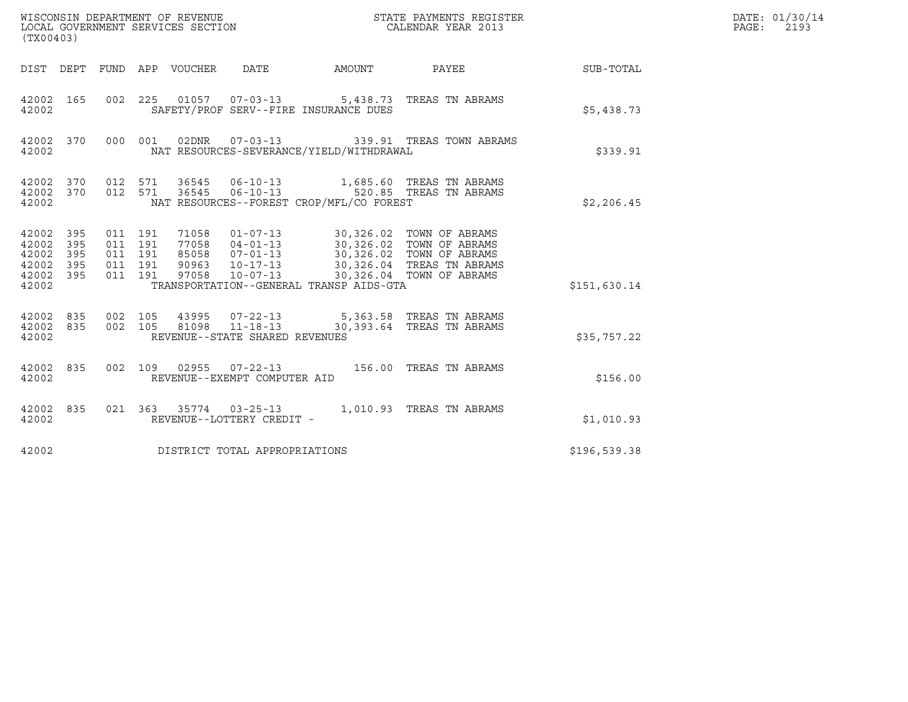| (TX00403)                                                            |            |                                                     |                       |                                                                    |                                          | $\tt WISCONSIM DEPARTMENT OF REVENUE$ $\tt WISCONSIM EN THE BAYMENTS REGISTERLOCAL GOVERNMENT SERVICES SECTION CALENDAR YEAR 2013$ |                  | DATE: 01/30/14<br>PAGE: 2193 |
|----------------------------------------------------------------------|------------|-----------------------------------------------------|-----------------------|--------------------------------------------------------------------|------------------------------------------|------------------------------------------------------------------------------------------------------------------------------------|------------------|------------------------------|
| DIST DEPT                                                            |            |                                                     | FUND APP VOUCHER DATE |                                                                    | AMOUNT PAYEE                             |                                                                                                                                    | <b>SUB-TOTAL</b> |                              |
| 42002 165<br>42002                                                   |            |                                                     |                       | 002 225 01057 07-03-13                                             | SAFETY/PROF SERV--FIRE INSURANCE DUES    | 5,438.73 TREAS TN ABRAMS                                                                                                           | \$5,438.73       |                              |
| 42002 370<br>42002                                                   |            | 000 001                                             |                       |                                                                    | NAT RESOURCES-SEVERANCE/YIELD/WITHDRAWAL | 02DNR  07-03-13    339.91 TREAS TOWN ABRAMS                                                                                        | \$339.91         |                              |
| 42002 370<br>42002 370<br>42002                                      |            | 012 571<br>012 571                                  |                       |                                                                    | NAT RESOURCES--FOREST CROP/MFL/CO FOREST |                                                                                                                                    | \$2,206.45       |                              |
| 42002 395<br>42002<br>42002<br>395<br>42002<br>395<br>42002<br>42002 | 395<br>395 | 011 191<br>011 191<br>011 191<br>011 191<br>011 191 | 97058                 | $10 - 07 - 13$                                                     | TRANSPORTATION--GENERAL TRANSP AIDS-GTA  | 30,326.04 TOWN OF ABRAMS                                                                                                           | \$151,630.14     |                              |
| 42002 835<br>42002<br>835<br>42002                                   |            | 002 105<br>002 105                                  | 81098                 | 43995 07-22-13<br>$11 - 18 - 13$<br>REVENUE--STATE SHARED REVENUES |                                          | 5,363.58 TREAS TN ABRAMS<br>30,393.64 TREAS TN ABRAMS                                                                              | \$35,757.22      |                              |
| 42002 835<br>42002                                                   |            |                                                     |                       | 002 109 02955 07-22-13<br>REVENUE--EXEMPT COMPUTER AID             |                                          | 156.00 TREAS TN ABRAMS                                                                                                             | \$156.00         |                              |
| 42002 835<br>42002                                                   |            |                                                     |                       | REVENUE--LOTTERY CREDIT -                                          |                                          | 021 363 35774 03-25-13 1,010.93 TREAS TN ABRAMS                                                                                    | \$1,010.93       |                              |
| 42002                                                                |            |                                                     |                       | DISTRICT TOTAL APPROPRIATIONS                                      |                                          |                                                                                                                                    | \$196,539.38     |                              |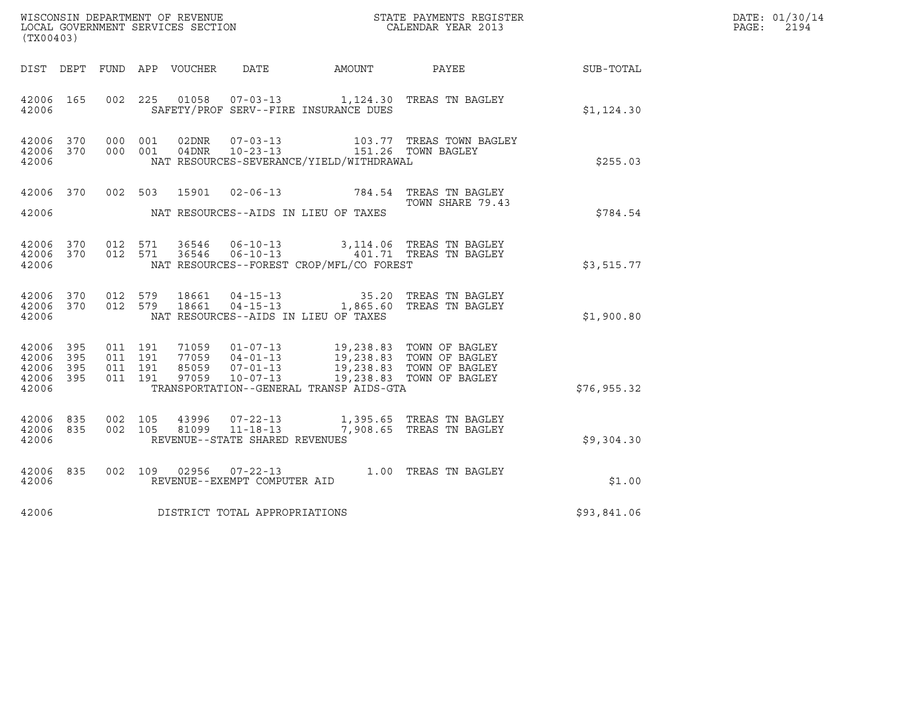| (TX00403)                                         |            |                               |         |                |                                |                                                                         | ${\tt WISCOONSIM} \begin{tabular}{lcccc} DEPARTMENT OF REVENUE & & & & & & \begin{tabular}{l} \bf STATE} & \bf PAYMENTS \textit{ REGISTER} \\ \hline \textit{LOCAL GOVERNMENT} & \bf SERVICES \textit{SECTION} & & & & & \begin{tabular}{l} \bf CALENDAR \textit{ YEAR} \end{tabular} \end{tabular} \end{tabular}$ |             | DATE: 01/30/14<br>PAGE:<br>2194 |
|---------------------------------------------------|------------|-------------------------------|---------|----------------|--------------------------------|-------------------------------------------------------------------------|--------------------------------------------------------------------------------------------------------------------------------------------------------------------------------------------------------------------------------------------------------------------------------------------------------------------|-------------|---------------------------------|
|                                                   |            |                               |         |                |                                |                                                                         | DIST DEPT FUND APP VOUCHER DATE AMOUNT PAYEE TO SUB-TOTAL                                                                                                                                                                                                                                                          |             |                                 |
| 42006 165<br>42006                                |            |                               |         |                |                                | SAFETY/PROF SERV--FIRE INSURANCE DUES                                   | 002 225 01058 07-03-13 1,124.30 TREAS TN BAGLEY                                                                                                                                                                                                                                                                    | \$1,124.30  |                                 |
| 42006 370<br>42006                                | 42006 370  | 000 001<br>000 001            |         | 02DNR<br>04DNR | $07 - 03 - 13$                 | 10-23-13 151.26 TOWN BAGLEY<br>NAT RESOURCES-SEVERANCE/YIELD/WITHDRAWAL | 103.77 TREAS TOWN BAGLEY                                                                                                                                                                                                                                                                                           | \$255.03    |                                 |
| 42006                                             |            | 42006 370 002 503             |         |                |                                | NAT RESOURCES--AIDS IN LIEU OF TAXES                                    | 15901  02-06-13  784.54  TREAS TN BAGLEY<br>TOWN SHARE 79.43                                                                                                                                                                                                                                                       | \$784.54    |                                 |
| 42006 370<br>42006                                |            | 42006 370 012 571<br>012 571  |         |                | 36546 06-10-13                 | NAT RESOURCES--FOREST CROP/MFL/CO FOREST                                | 3,114.06 TREAS TN BAGLEY<br>36546  06-10-13    401.71    TREAS TN BAGLEY                                                                                                                                                                                                                                           | \$3,515.77  |                                 |
| 42006                                             | 42006 370  | 42006 370 012 579             | 012 579 |                |                                | NAT RESOURCES--AIDS IN LIEU OF TAXES                                    | 18661  04-15-13   35.20 TREAS TN BAGLEY<br>18661  04-15-13   1,865.60 TREAS TN BAGLEY                                                                                                                                                                                                                              | \$1,900.80  |                                 |
| 42006 395<br>42006<br>42006<br>42006 395<br>42006 | 395<br>395 | 011 191<br>011 191<br>011 191 | 011 191 |                |                                | TRANSPORTATION--GENERAL TRANSP AIDS-GTA                                 |                                                                                                                                                                                                                                                                                                                    | \$76,955.32 |                                 |
| 42006 835<br>42006 835<br>42006                   |            | 002 105<br>002 105            |         |                | REVENUE--STATE SHARED REVENUES |                                                                         | $\begin{array}{cccc} 43996 & 07\text{-}22\text{-}13 & 1,395.65 & \text{TREAS TN BAGLEY} \\ 81099 & 11\text{-}18\text{-}13 & 7,908.65 & \text{TREAS TN BAGLEY} \end{array}$                                                                                                                                         | \$9,304.30  |                                 |
| 42006                                             | 42006 835  |                               |         |                | REVENUE--EXEMPT COMPUTER AID   |                                                                         | 002 109 02956 07-22-13 1.00 TREAS TN BAGLEY                                                                                                                                                                                                                                                                        | \$1.00      |                                 |
| 42006                                             |            |                               |         |                | DISTRICT TOTAL APPROPRIATIONS  |                                                                         |                                                                                                                                                                                                                                                                                                                    | \$93,841.06 |                                 |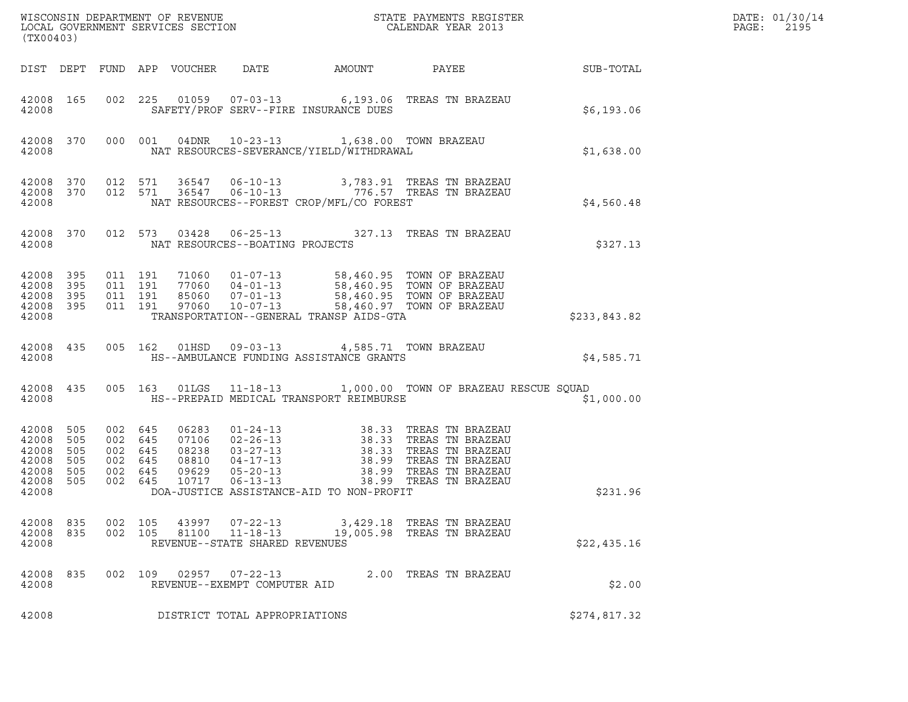| (TX00403)                                                           |                          |                                                                                                                                                                                                                                 |                                          |                                 |                                                                    |                                                                                                    |                                                                                                                                                                                                                                         |              | DATE: 01/30/14<br>PAGE:<br>2195 |
|---------------------------------------------------------------------|--------------------------|---------------------------------------------------------------------------------------------------------------------------------------------------------------------------------------------------------------------------------|------------------------------------------|---------------------------------|--------------------------------------------------------------------|----------------------------------------------------------------------------------------------------|-----------------------------------------------------------------------------------------------------------------------------------------------------------------------------------------------------------------------------------------|--------------|---------------------------------|
|                                                                     |                          |                                                                                                                                                                                                                                 |                                          | DIST DEPT FUND APP VOUCHER DATE |                                                                    |                                                                                                    |                                                                                                                                                                                                                                         |              |                                 |
| 42008                                                               |                          |                                                                                                                                                                                                                                 |                                          |                                 |                                                                    | SAFETY/PROF SERV--FIRE INSURANCE DUES                                                              | 42008 165 002 225 01059 07-03-13 6,193.06 TREAS TN BRAZEAU                                                                                                                                                                              | \$6,193.06   |                                 |
|                                                                     |                          | 42008 and 1200 and 1200 and 1200 and 1200 and 1200 and 1200 and 1200 and 1200 and 1200 and 1200 and 1200 and 1200 and 1200 and 1200 and 1200 and 1200 and 1200 and 1200 and 1200 and 1200 and 1200 and 1200 and 1200 and 1200 a |                                          |                                 |                                                                    | 42008 370 000 001 04DNR 10-23-13 1,638.00 TOWN BRAZEAU<br>NAT RESOURCES-SEVERANCE/YIELD/WITHDRAWAL |                                                                                                                                                                                                                                         | \$1,638.00   |                                 |
| 42008                                                               |                          |                                                                                                                                                                                                                                 |                                          |                                 |                                                                    | NAT RESOURCES--FOREST CROP/MFL/CO FOREST                                                           | $\begin{array}{cccccccc} 42008 & 370 & 012 & 571 & 36547 & 06-10-13 & & 3,783.91 & \text{TREAS TN BRAZEAU} \\ 42008 & 370 & 012 & 571 & 36547 & 06-10-13 & & & 776.57 & \text{TREAS TN BRAZEAU} \end{array}$                            | \$4,560.48   |                                 |
|                                                                     |                          |                                                                                                                                                                                                                                 |                                          |                                 | 42008 NAT RESOURCES--BOATING PROJECTS                              |                                                                                                    | 42008 370 012 573 03428 06-25-13 327.13 TREAS TN BRAZEAU                                                                                                                                                                                | \$327.13     |                                 |
| 42008 395<br>42008 395<br>42008 395<br>42008 395<br>42008           |                          |                                                                                                                                                                                                                                 | 011 191<br>011 191<br>011 191<br>011 191 |                                 |                                                                    | TRANSPORTATION--GENERAL TRANSP AIDS-GTA                                                            | 71060  01-07-13  58,460.95  TOWN OF BRAZEAU<br>77060  04-01-13  58,460.95  TOWN OF BRAZEAU<br>85060  07-01-13  58,460.95  TOWN OF BRAZEAU<br>97060  10-07-13  58,460.97  TOWN OF BRAZEAU                                                | \$233,843.82 |                                 |
| 42008                                                               |                          |                                                                                                                                                                                                                                 |                                          |                                 |                                                                    | 42008 435 005 162 01HSD 09-03-13 4,585.71 TOWN BRAZEAU<br>HS--AMBULANCE FUNDING ASSISTANCE GRANTS  |                                                                                                                                                                                                                                         | \$4,585.71   |                                 |
| 42008                                                               | 42008 435                |                                                                                                                                                                                                                                 |                                          |                                 |                                                                    | HS--PREPAID MEDICAL TRANSPORT REIMBURSE                                                            | 005 163 01LGS 11-18-13 1,000.00 TOWN OF BRAZEAU RESCUE SQUAD                                                                                                                                                                            | \$1,000.00   |                                 |
| 42008 505<br>42008<br>42008<br>42008<br>42008<br>42008 505<br>42008 | 505<br>505<br>505<br>505 | 002 645<br>002 645<br>002 645<br>002 645<br>002 645                                                                                                                                                                             | 002 645                                  |                                 |                                                                    | DOA-JUSTICE ASSISTANCE-AID TO NON-PROFIT                                                           | 06283 01-24-13 38.33 TREAS TN BRAZEAU<br>07106 02-26-13 38.33 TREAS TN BRAZEAU<br>08238 03-27-13 38.33 TREAS TN BRAZEAU<br>08810 04-17-13 38.99 TREAS TN BRAZEAU<br>09629 05-20-13 38.99 TREAS TN BRAZEAU<br>17717 06-13-13 38.99 TREAS | \$231.96     |                                 |
| 42008<br>42008 835<br>42008                                         | 835                      | 002 105<br>002 105                                                                                                                                                                                                              |                                          | 43997<br>81100                  | $07 - 22 - 13$<br>$11 - 18 - 13$<br>REVENUE--STATE SHARED REVENUES |                                                                                                    | 3,429.18 TREAS TN BRAZEAU<br>19,005.98 TREAS TN BRAZEAU                                                                                                                                                                                 | \$22,435.16  |                                 |
| 42008<br>42008                                                      | 835                      | 002 109                                                                                                                                                                                                                         |                                          | 02957                           | $07 - 22 - 13$<br>REVENUE--EXEMPT COMPUTER AID                     |                                                                                                    | 2.00 TREAS TN BRAZEAU                                                                                                                                                                                                                   | \$2.00       |                                 |
| 42008                                                               |                          |                                                                                                                                                                                                                                 |                                          |                                 | DISTRICT TOTAL APPROPRIATIONS                                      |                                                                                                    |                                                                                                                                                                                                                                         | \$274,817.32 |                                 |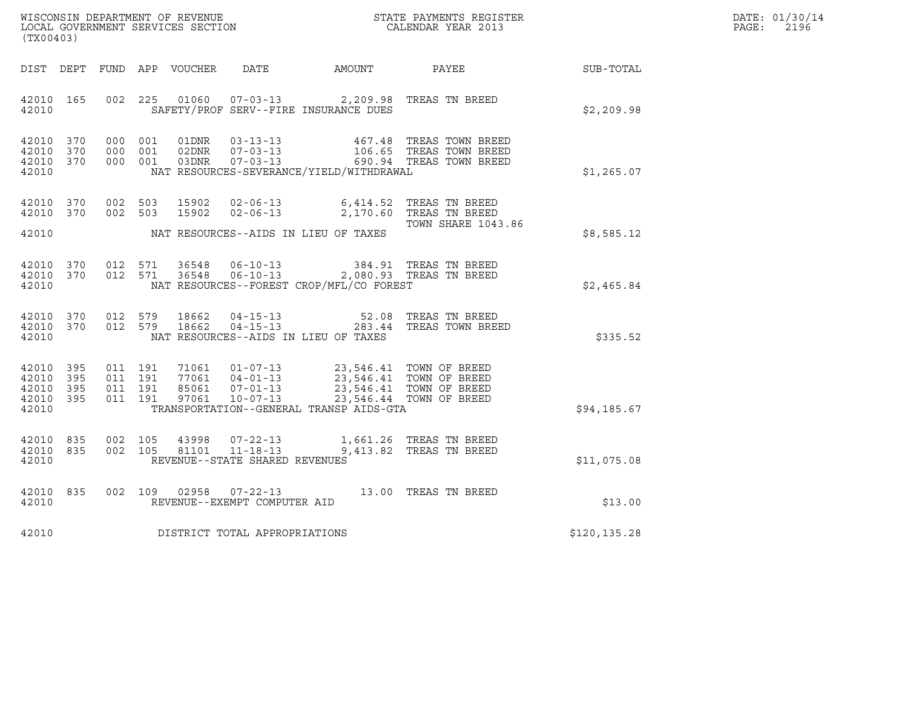| DATE: | 01/30/14 |
|-------|----------|
| PAGE: | 2196     |

| (TX00403)                                                 | WISCONSIN DEPARTMENT OF REVENUE<br>LOCAL GOVERNMENT SERVICES SECTION<br>CALENDAR YEAR 2013                                                                                                                                                                                                                                      |                           |              | DATE: 01/30/14<br>PAGE: 2196 |
|-----------------------------------------------------------|---------------------------------------------------------------------------------------------------------------------------------------------------------------------------------------------------------------------------------------------------------------------------------------------------------------------------------|---------------------------|--------------|------------------------------|
|                                                           | DIST DEPT FUND APP VOUCHER DATE AMOUNT PAYEE SUB-TOTAL                                                                                                                                                                                                                                                                          |                           |              |                              |
| 42010 165<br>42010                                        | 002 225 01060 07-03-13 2,209.98 TREAS TN BREED<br>SAFETY/PROF SERV--FIRE INSURANCE DUES                                                                                                                                                                                                                                         |                           | \$2,209.98   |                              |
| 42010 370<br>42010 370<br>42010 370<br>42010              | 000 001 01DNR 03-13-13 467.48 TREAS TOWN BREED<br>000 001 02DNR 07-03-13 106.65 TREAS TOWN BREED<br>000 001 03DNR 07-03-13 690.94 TREAS TOWN BREED<br>NAT RESOURCES-SEVERANCE/YIELD/WITHDRAWAL                                                                                                                                  |                           | \$1,265.07   |                              |
| 42010 370<br>42010 370                                    | 002 503 15902 02-06-13 6,414.52 TREAS TN BREED<br>002 503 15902 02-06-13 2,170.60 TREAS TN BREED<br>42010 NAT RESOURCES--AIDS IN LIEU OF TAXES                                                                                                                                                                                  | <b>TOWN SHARE 1043.86</b> | \$8,585.12   |                              |
| 42010                                                     | $\begin{array}{cccccccc} 42010 & 370 & 012 & 571 & 36548 & 06-10-13 & & 384.91 & \text{TREAS TN BREED} \\ 42010 & 370 & 012 & 571 & 36548 & 06-10-13 & & 2,080.93 & \text{TREAS TN BREED} \end{array}$<br>NAT RESOURCES--FOREST CROP/MFL/CO FOREST                                                                              |                           | \$2,465.84   |                              |
| 42010                                                     | $42010$ 370 012 579 18662 04-15-13 52.08 TREAS TN BREED<br>$42010$ 370 012 579 18662 04-15-13 283.44 TREAS TOWN BREED<br>NAT RESOURCES--AIDS IN LIEU OF TAXES                                                                                                                                                                   |                           | \$335.52     |                              |
| 42010 395<br>42010 395<br>42010 395<br>42010 395<br>42010 | $\begin{tabular}{cccccc} 011 & 191 & 71061 & 01-07-13 & 23,546.41 & TOWN OF BREED \\ 011 & 191 & 77061 & 04-01-13 & 23,546.41 & TOWN OF BREED \\ 011 & 191 & 85061 & 07-01-13 & 23,546.41 & TOWN OF BREED \\ 011 & 191 & 97061 & 10-07-13 & 23,546.44 & TOWN OF BREED \end{tabular}$<br>TRANSPORTATION--GENERAL TRANSP AIDS-GTA |                           | \$94,185.67  |                              |
| 42010 835<br>42010 835<br>42010                           | 002 105 43998 07-22-13 1,661.26 TREAS TN BREED<br>002 105 81101 11-18-13 9,413.82 TREAS TN BREED<br>REVENUE--STATE SHARED REVENUES                                                                                                                                                                                              |                           | \$11,075.08  |                              |
| 42010 835<br>42010                                        | 002 109 02958 07-22-13 13.00 TREAS TN BREED<br>REVENUE--EXEMPT COMPUTER AID                                                                                                                                                                                                                                                     |                           | \$13.00      |                              |
|                                                           | 42010 DISTRICT TOTAL APPROPRIATIONS                                                                                                                                                                                                                                                                                             |                           | \$120,135.28 |                              |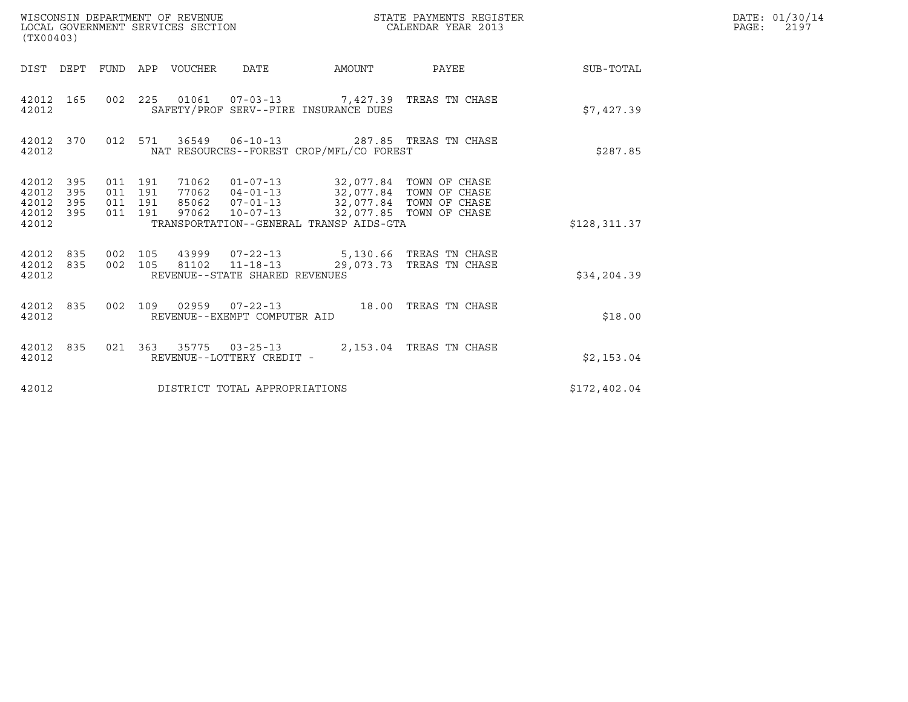| (TX00403)                                         |            |                                          |                                 | WISCONSIN DEPARTMENT OF REVENUE<br>LOCAL GOVERNMENT SERVICES SECTION |                                                                                                                                                                                                                          | STATE PAYMENTS REGISTER<br>CALENDAR YEAR 2013 |                        | DATE: 01/30/14<br>PAGE:<br>2197 |
|---------------------------------------------------|------------|------------------------------------------|---------------------------------|----------------------------------------------------------------------|--------------------------------------------------------------------------------------------------------------------------------------------------------------------------------------------------------------------------|-----------------------------------------------|------------------------|---------------------------------|
|                                                   |            |                                          | DIST DEPT FUND APP VOUCHER DATE |                                                                      |                                                                                                                                                                                                                          |                                               | AMOUNT PAYEE SUB-TOTAL |                                 |
| 42012 165<br>42012                                |            |                                          |                                 |                                                                      | 002 225 01061 07-03-13 7,427.39 TREAS TN CHASE<br>SAFETY/PROF SERV--FIRE INSURANCE DUES                                                                                                                                  |                                               | \$7,427.39             |                                 |
| 42012 370<br>42012                                |            |                                          |                                 |                                                                      | 012 571 36549 06-10-13 287.85 TREAS TN CHASE<br>NAT RESOURCES--FOREST CROP/MFL/CO FOREST                                                                                                                                 |                                               | \$287.85               |                                 |
| 42012 395<br>42012<br>42012<br>42012 395<br>42012 | 395<br>395 | 011 191<br>011 191<br>011 191<br>011 191 |                                 |                                                                      | 71062  01-07-13  32,077.84  TOWN OF CHASE<br>77062  04-01-13  32,077.84  TOWN OF CHASE<br>85062  07-01-13  32,077.84  TOWN OF CHASE<br>97062 10-07-13 32,077.85 TOWN OF CHASE<br>TRANSPORTATION--GENERAL TRANSP AIDS-GTA |                                               | \$128,311.37           |                                 |
| 42012 835<br>42012 835<br>42012                   |            | 002 105<br>002 105                       |                                 | REVENUE--STATE SHARED REVENUES                                       | 43999  07-22-13  5,130.66 TREAS TN CHASE<br>81102  11-18-13  29,073.73  TREAS TN CHASE                                                                                                                                   |                                               | \$34, 204.39           |                                 |
| 42012 835<br>42012                                |            |                                          |                                 | REVENUE--EXEMPT COMPUTER AID                                         | 002 109 02959 07-22-13 18.00 TREAS TN CHASE                                                                                                                                                                              |                                               | \$18.00                |                                 |
| 42012                                             |            |                                          |                                 | REVENUE--LOTTERY CREDIT -                                            | 42012 835 021 363 35775 03-25-13 2,153.04 TREAS TN CHASE                                                                                                                                                                 |                                               | \$2,153.04             |                                 |
| 42012                                             |            |                                          |                                 | DISTRICT TOTAL APPROPRIATIONS                                        |                                                                                                                                                                                                                          |                                               | \$172,402.04           |                                 |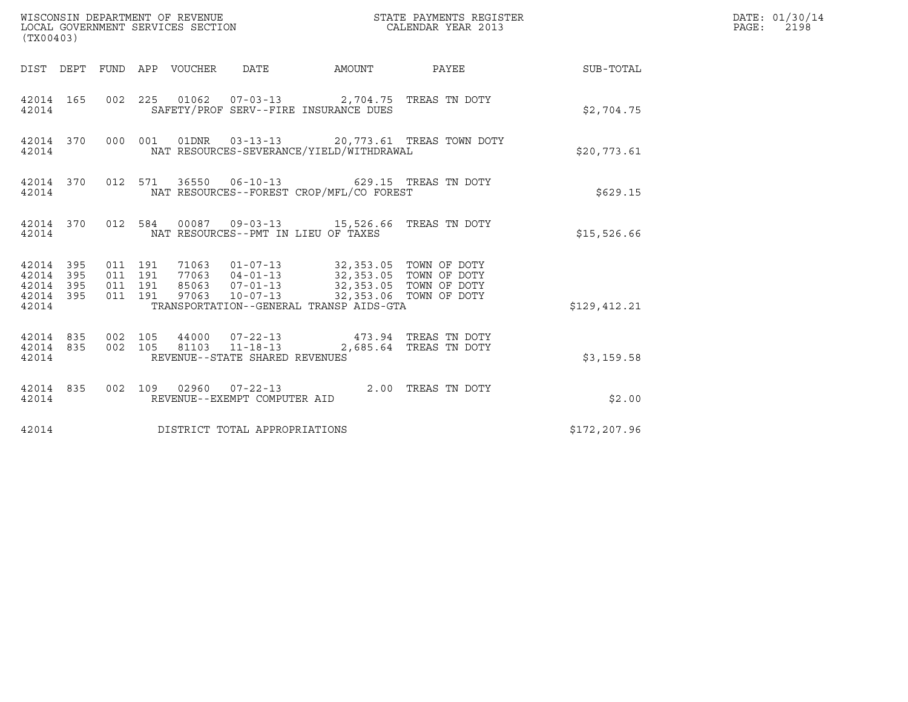| (TX00403)                                                                                             |                                                                                                                                                                                                                         |                        |              | DATE: 01/30/14<br>PAGE: 2198 |
|-------------------------------------------------------------------------------------------------------|-------------------------------------------------------------------------------------------------------------------------------------------------------------------------------------------------------------------------|------------------------|--------------|------------------------------|
| DIST DEPT FUND APP VOUCHER DATE AMOUNT PAYEE                                                          |                                                                                                                                                                                                                         |                        | SUB-TOTAL    |                              |
| 42014 165<br>42014                                                                                    | 002 225 01062 07-03-13 2,704.75 TREAS TN DOTY<br>SAFETY/PROF SERV--FIRE INSURANCE DUES                                                                                                                                  |                        | \$2,704.75   |                              |
| 42014 370<br>42014                                                                                    | 000 001 01DNR 03-13-13 20,773.61 TREAS TOWN DOTY<br>NAT RESOURCES-SEVERANCE/YIELD/WITHDRAWAL                                                                                                                            |                        | \$20,773.61  |                              |
| 42014 370<br>42014                                                                                    | 012 571 36550 06-10-13 629.15 TREAS TN DOTY<br>NAT RESOURCES--FOREST CROP/MFL/CO FOREST                                                                                                                                 |                        | \$629.15     |                              |
| 42014 370 012 584 00087 09-03-13 15,526.66 TREAS TN DOTY<br>42014                                     | NAT RESOURCES--PMT IN LIEU OF TAXES                                                                                                                                                                                     |                        | \$15,526.66  |                              |
| 42014 395<br>011 191<br>42014 395<br>011 191<br>011 191<br>42014 395<br>42014 395<br>011 191<br>42014 | 71063  01-07-13  32,353.05  TOWN OF DOTY<br>77063  04-01-13  32,353.05  TOWN OF DOTY<br>85063  07-01-13  32,353.05  TOWN OF DOTY<br>97063  10-07-13  32,353.06  TOWN OF DOTY<br>TRANSPORTATION--GENERAL TRANSP AIDS-GTA | 32,353.06 TOWN OF DOTY | \$129,412.21 |                              |
| 002 105<br>42014 835<br>002 105<br>42014 835<br>42014                                                 | 44000  07-22-13  473.94 TREAS TN DOTY<br>81103 11-18-13<br>REVENUE--STATE SHARED REVENUES                                                                                                                               | 2,685.64 TREAS TN DOTY | \$3,159.58   |                              |
| 42014 835<br>42014                                                                                    | 002 109 02960 07-22-13 2.00 TREAS TN DOTY<br>REVENUE--EXEMPT COMPUTER AID                                                                                                                                               |                        | \$2.00       |                              |
| DISTRICT TOTAL APPROPRIATIONS<br>42014                                                                |                                                                                                                                                                                                                         |                        | \$172,207.96 |                              |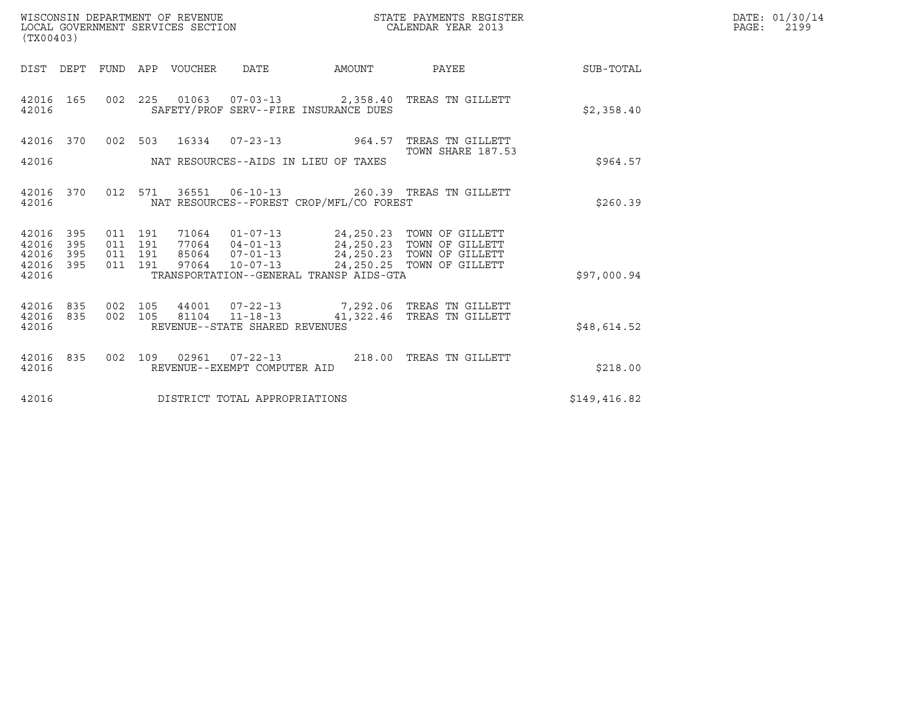| WISCONSIN DEPARTMENT OF REVENUE<br>LOCAL GOVERNMENT SERVICES SECTION<br>(TX00403) |                   |                               |         |             |                                                  |                                          | STATE PAYMENTS REGISTER<br>CALENDAR YEAR 2013                                                                           |                 | DATE: 01/30/14<br>PAGE:<br>2199 |
|-----------------------------------------------------------------------------------|-------------------|-------------------------------|---------|-------------|--------------------------------------------------|------------------------------------------|-------------------------------------------------------------------------------------------------------------------------|-----------------|---------------------------------|
| DIST DEPT FUND                                                                    |                   |                               |         | APP VOUCHER | <b>DATE</b>                                      | AMOUNT                                   |                                                                                                                         | PAYEE SUB-TOTAL |                                 |
| 42016 165<br>42016                                                                |                   |                               | 002 225 |             |                                                  | SAFETY/PROF SERV--FIRE INSURANCE DUES    | 01063  07-03-13  2,358.40 TREAS TN GILLETT                                                                              | \$2,358.40      |                                 |
| 42016 370                                                                         |                   |                               | 002 503 |             |                                                  |                                          | 16334  07-23-13  964.57  TREAS TN GILLETT                                                                               |                 |                                 |
| 42016                                                                             |                   |                               |         |             |                                                  | NAT RESOURCES--AIDS IN LIEU OF TAXES     | TOWN SHARE 187.53                                                                                                       | \$964.57        |                                 |
| 42016 370<br>42016                                                                |                   |                               |         |             |                                                  | NAT RESOURCES--FOREST CROP/MFL/CO FOREST | 012 571 36551 06-10-13 260.39 TREAS TN GILLETT                                                                          | \$260.39        |                                 |
| 42016<br>42016<br>42016                                                           | 395<br>395<br>395 | 011 191<br>011 191<br>011 191 |         |             | 85064 07-01-13                                   |                                          | 71064  01-07-13  24,250.23  TOWN OF GILLETT<br>77064  04-01-13  24,250.23  TOWN OF GILLETT<br>24,250.23 TOWN OF GILLETT |                 |                                 |
| 42016 395<br>42016                                                                |                   | 011 191                       |         | 97064       | $10 - 07 - 13$                                   | TRANSPORTATION--GENERAL TRANSP AIDS-GTA  | 24,250.25 TOWN OF GILLETT                                                                                               | \$97,000.94     |                                 |
| 42016<br>42016 835<br>42016                                                       | 835               | 002<br>002 105                | 105     |             | 81104 11-18-13<br>REVENUE--STATE SHARED REVENUES |                                          | 44001  07-22-13  7,292.06  TREAS TN GILLETT<br>41,322.46 TREAS TN GILLETT                                               | \$48,614.52     |                                 |
| 42016 835<br>42016                                                                |                   | 002 109                       |         | 02961       | $07 - 22 - 13$<br>REVENUE--EXEMPT COMPUTER AID   |                                          | 218.00 TREAS TN GILLETT                                                                                                 | \$218.00        |                                 |
| 42016                                                                             |                   |                               |         |             | DISTRICT TOTAL APPROPRIATIONS                    |                                          |                                                                                                                         | \$149,416.82    |                                 |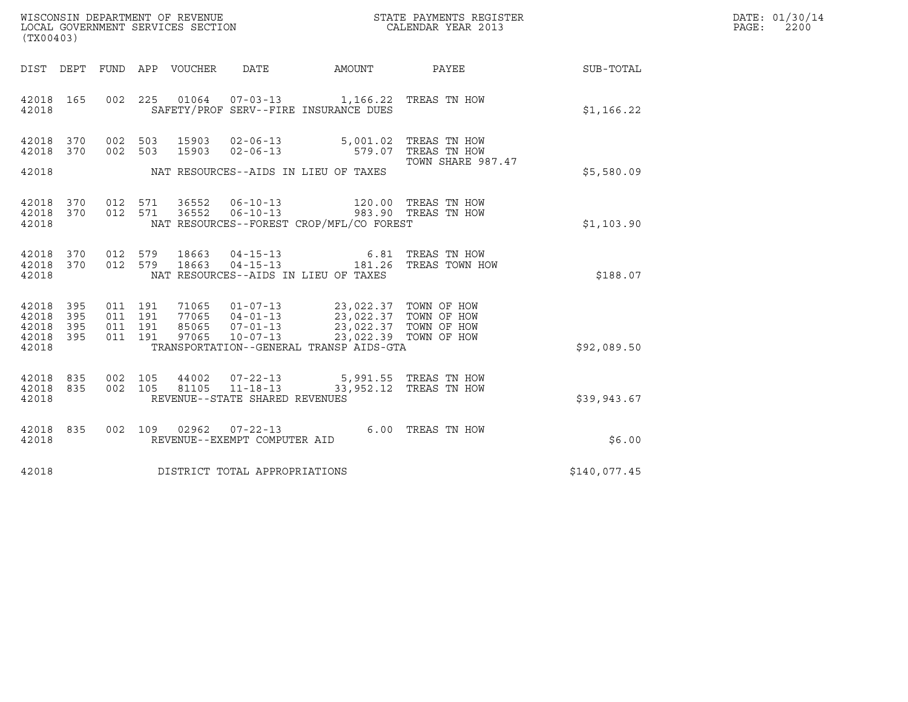| WISCONSIN DEPARTMENT OF REVENUE   | STATE PAYMENTS REGISTER | DATE: 01/30/14 |
|-----------------------------------|-------------------------|----------------|
| LOCAL GOVERNMENT SERVICES SECTION | CALENDAR YEAR 2013      | 2200<br>PAGE:  |

| (TX00403)                                                 |  |                                |                                |                                                                                                                                                                                                                                                                                                                                                          | WISCONSIN DEPARTMENT OF REVENUE<br>LOCAL GOVERNMENT SERVICES SECTION<br>CALENDAR YEAR 2013 |              | DATE: 01/30/14<br>PAGE:<br>2200 |
|-----------------------------------------------------------|--|--------------------------------|--------------------------------|----------------------------------------------------------------------------------------------------------------------------------------------------------------------------------------------------------------------------------------------------------------------------------------------------------------------------------------------------------|--------------------------------------------------------------------------------------------|--------------|---------------------------------|
|                                                           |  |                                |                                |                                                                                                                                                                                                                                                                                                                                                          | DIST DEPT FUND APP VOUCHER DATE AMOUNT PAYEE                                               | SUB-TOTAL    |                                 |
| 42018 165<br>42018                                        |  |                                |                                | 002 225 01064 07-03-13 1,166.22 TREAS TN HOW<br>SAFETY/PROF SERV--FIRE INSURANCE DUES                                                                                                                                                                                                                                                                    |                                                                                            | \$1,166.22   |                                 |
| 42018 370<br>42018 370                                    |  | 002 503 15903                  |                                | 002 503 15903 02-06-13 5,001.02 TREAS TN HOW<br>002 503 15903 02-06-13 579.07 TREAS TN HOW                                                                                                                                                                                                                                                               |                                                                                            |              |                                 |
|                                                           |  |                                |                                | 42018 MAT RESOURCES--AIDS IN LIEU OF TAXES                                                                                                                                                                                                                                                                                                               | TOWN SHARE 987.47                                                                          | \$5,580.09   |                                 |
| 42018 370<br>42018 370<br>42018                           |  | 012 571 36552<br>012 571 36552 |                                | 06-10-13 120.00 TREAS TN HOW 06-10-13 983.90 TREAS TN HOW<br>NAT RESOURCES--FOREST CROP/MFL/CO FOREST                                                                                                                                                                                                                                                    |                                                                                            | \$1,103.90   |                                 |
| 42018 370<br>42018 370<br>42018                           |  | 012 579 18663<br>012 579 18663 |                                | NAT RESOURCES--AIDS IN LIEU OF TAXES                                                                                                                                                                                                                                                                                                                     | 04-15-13 6.81 TREAS TN HOW<br>04-15-13 181.26 TREAS TOWN HOW                               | \$188.07     |                                 |
| 42018 395<br>42018 395<br>42018 395<br>42018 395<br>42018 |  |                                |                                | $\begin{array}{cccc} 011 & 191 & 71065 & 01-07-13 & 23,022.37 & \textrm{TOWN OF HOW} \\ 011 & 191 & 77065 & 04-01-13 & 23,022.37 & \textrm{TOWN OF HOW} \\ 011 & 191 & 85065 & 07-01-13 & 23,022.37 & \textrm{TOWN OF HOW} \\ 011 & 191 & 97065 & 10-07-13 & 23,022.39 & \textrm{TOWN OF HOW} \\ \end{array}$<br>TRANSPORTATION--GENERAL TRANSP AIDS-GTA |                                                                                            | \$92,089.50  |                                 |
| 42018 835<br>42018 835<br>42018                           |  |                                | REVENUE--STATE SHARED REVENUES | 002 105 44002 07-22-13 5,991.55 TREAS TN HOW<br>002 105 81105 11-18-13 33,952.12 TREAS TN HOW                                                                                                                                                                                                                                                            |                                                                                            | \$39,943.67  |                                 |
| 42018 835<br>42018                                        |  |                                | REVENUE--EXEMPT COMPUTER AID   | 002 109 02962 07-22-13 6.00 TREAS TN HOW                                                                                                                                                                                                                                                                                                                 |                                                                                            | \$6.00       |                                 |
| 42018                                                     |  |                                | DISTRICT TOTAL APPROPRIATIONS  |                                                                                                                                                                                                                                                                                                                                                          |                                                                                            | \$140,077.45 |                                 |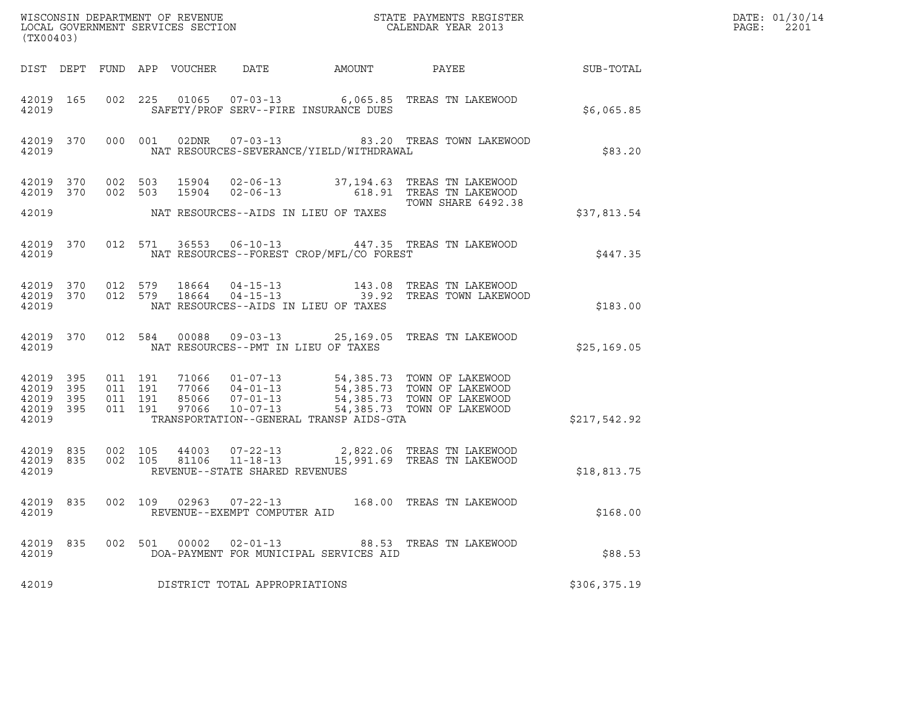| (TX00403)                                                 |                                          |                            |                                                                             |                                          |                                                                                                                                                                            |              | DATE: 01/30/14<br>PAGE:<br>2201 |
|-----------------------------------------------------------|------------------------------------------|----------------------------|-----------------------------------------------------------------------------|------------------------------------------|----------------------------------------------------------------------------------------------------------------------------------------------------------------------------|--------------|---------------------------------|
|                                                           |                                          | DIST DEPT FUND APP VOUCHER |                                                                             | DATE AMOUNT                              | PAYEE                                                                                                                                                                      | SUB-TOTAL    |                                 |
| 42019 165<br>42019                                        |                                          |                            | SAFETY/PROF SERV--FIRE INSURANCE DUES                                       |                                          | 002 225 01065 07-03-13 6,065.85 TREAS TN LAKEWOOD                                                                                                                          | \$6,065.85   |                                 |
| 42019 370<br>42019                                        |                                          | 000 001                    |                                                                             | NAT RESOURCES-SEVERANCE/YIELD/WITHDRAWAL | 02DNR  07-03-13  83.20 TREAS TOWN LAKEWOOD                                                                                                                                 | \$83.20      |                                 |
| 42019 370<br>42019 370                                    | 002 503<br>002 503                       |                            | 15904                                                                       |                                          | 15904  02-06-13  37,194.63  TREAS TN LAKEWOOD<br>02-06-13 618.91 TREAS TN LAKEWOOD                                                                                         |              |                                 |
| 42019                                                     |                                          |                            | NAT RESOURCES--AIDS IN LIEU OF TAXES                                        |                                          | TOWN SHARE 6492.38                                                                                                                                                         | \$37,813.54  |                                 |
| 42019 370<br>42019                                        |                                          |                            |                                                                             | NAT RESOURCES--FOREST CROP/MFL/CO FOREST | 012 571 36553 06-10-13 447.35 TREAS TN LAKEWOOD                                                                                                                            | \$447.35     |                                 |
| 42019 370<br>42019 370<br>42019                           | 012 579<br>012 579                       |                            | NAT RESOURCES--AIDS IN LIEU OF TAXES                                        |                                          |                                                                                                                                                                            | \$183.00     |                                 |
| 42019 370<br>42019                                        |                                          | 012 584                    | 00088<br>NAT RESOURCES--PMT IN LIEU OF TAXES                                |                                          | 09-03-13 25,169.05 TREAS TN LAKEWOOD                                                                                                                                       | \$25,169.05  |                                 |
| 42019 395<br>42019 395<br>42019 395<br>42019 395<br>42019 | 011 191<br>011 191<br>011 191<br>011 191 |                            | 97066<br>$10 - 07 - 13$                                                     | TRANSPORTATION--GENERAL TRANSP AIDS-GTA  | 71066  01-07-13  54,385.73  TOWN OF LAKEWOOD<br>77066  04-01-13  54,385.73  TOWN OF LAKEWOOD<br>85066  07-01-13  54,385.73  TOWN OF LAKEWOOD<br>54,385.73 TOWN OF LAKEWOOD | \$217,542.92 |                                 |
| 42019 835<br>42019 835<br>42019                           | 002 105<br>002 105                       |                            | 44003 07-22-13<br>$11 - 18 - 13$<br>81106<br>REVENUE--STATE SHARED REVENUES |                                          | 2,822.06 TREAS TN LAKEWOOD<br>15,991.69 TREAS TN LAKEWOOD                                                                                                                  | \$18,813.75  |                                 |
| 42019 835<br>42019                                        |                                          |                            | 002 109 02963 07-22-13<br>REVENUE--EXEMPT COMPUTER AID                      |                                          | 168.00 TREAS TN LAKEWOOD                                                                                                                                                   | \$168.00     |                                 |
| 42019 835<br>42019                                        |                                          |                            | 002 501 00002 02-01-13                                                      | DOA-PAYMENT FOR MUNICIPAL SERVICES AID   | 88.53 TREAS TN LAKEWOOD                                                                                                                                                    | \$88.53      |                                 |
| 42019                                                     |                                          |                            | DISTRICT TOTAL APPROPRIATIONS                                               |                                          |                                                                                                                                                                            | \$306,375.19 |                                 |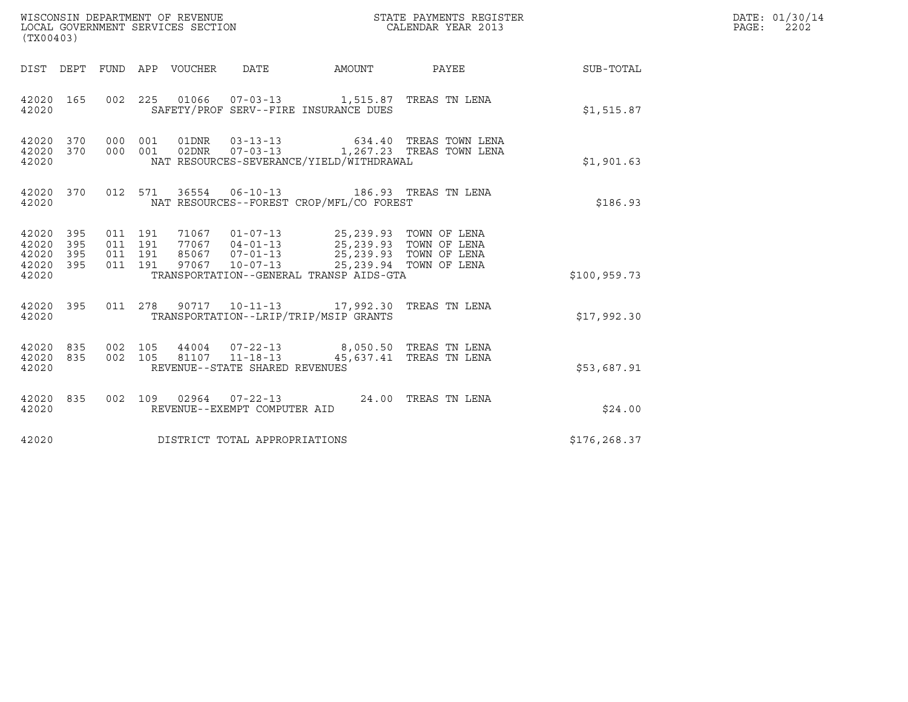| (TX00403)                                         |            |         |  | WISCONSIN DEPARTMENT OF REVENUE<br>LOCAL GOVERNMENT SERVICES SECTION |                                                                                                                                                                                                                                                                                                                                                                                               | STATE PAYMENTS REGISTER<br>CALENDAR YEAR 2013 |               | DATE: 01/30/14<br>$\mathtt{PAGE}$ :<br>2202 |
|---------------------------------------------------|------------|---------|--|----------------------------------------------------------------------|-----------------------------------------------------------------------------------------------------------------------------------------------------------------------------------------------------------------------------------------------------------------------------------------------------------------------------------------------------------------------------------------------|-----------------------------------------------|---------------|---------------------------------------------|
|                                                   |            |         |  |                                                                      |                                                                                                                                                                                                                                                                                                                                                                                               | DIST DEPT FUND APP VOUCHER DATE AMOUNT PAYEE  | SUB-TOTAL     |                                             |
| 42020 165<br>42020                                |            |         |  |                                                                      | 002 225 01066 07-03-13 1,515.87 TREAS TN LENA<br>SAFETY/PROF SERV--FIRE INSURANCE DUES                                                                                                                                                                                                                                                                                                        |                                               | \$1,515.87    |                                             |
| 42020 370 000 001<br>42020 370<br>42020           |            |         |  |                                                                      | NAT RESOURCES-SEVERANCE/YIELD/WITHDRAWAL                                                                                                                                                                                                                                                                                                                                                      |                                               | \$1,901.63    |                                             |
| 42020                                             |            |         |  |                                                                      | 42020 370 012 571 36554 06-10-13 186.93 TREAS TN LENA<br>NAT RESOURCES--FOREST CROP/MFL/CO FOREST                                                                                                                                                                                                                                                                                             |                                               | \$186.93      |                                             |
| 42020 395<br>42020<br>42020<br>42020 395<br>42020 | 395<br>395 |         |  |                                                                      | $\begin{array}{cccccc} 011 & 191 & 71067 & 01\texttt{-}07\texttt{-}13 & 25,239.93 & \texttt{TOWN OF LENA} \\ 011 & 191 & 77067 & 04\texttt{-}01\texttt{-}13 & 25,239.93 & \texttt{TOWN OF LENA} \\ 011 & 191 & 85067 & 07\texttt{-}01\texttt{-}13 & 25,239.93 & \texttt{TOWN OF LENA} \\ 011 & 191 & 97067 & 10\texttt{-}07\texttt{-}13 & 25,239.$<br>TRANSPORTATION--GENERAL TRANSP AIDS-GTA |                                               | \$100, 959.73 |                                             |
| 42020 395<br>42020                                |            |         |  |                                                                      | 011  278  90717  10-11-13  17,992.30  TREAS TN LENA<br>TRANSPORTATION--LRIP/TRIP/MSIP GRANTS                                                                                                                                                                                                                                                                                                  |                                               | \$17.992.30   |                                             |
| 42020 835<br>42020                                |            | 002 105 |  | 81107 11-18-13<br>REVENUE--STATE SHARED REVENUES                     | 42020 835 002 105 44004 07-22-13 8,050.50 TREAS TN LENA                                                                                                                                                                                                                                                                                                                                       | 45,637.41 TREAS TN LENA                       | \$53,687.91   |                                             |
| 42020 835<br>42020                                |            |         |  | REVENUE--EXEMPT COMPUTER AID                                         | 002 109 02964 07-22-13 24.00 TREAS TN LENA                                                                                                                                                                                                                                                                                                                                                    |                                               | \$24.00       |                                             |
| 42020                                             |            |         |  | DISTRICT TOTAL APPROPRIATIONS                                        |                                                                                                                                                                                                                                                                                                                                                                                               |                                               | \$176,268.37  |                                             |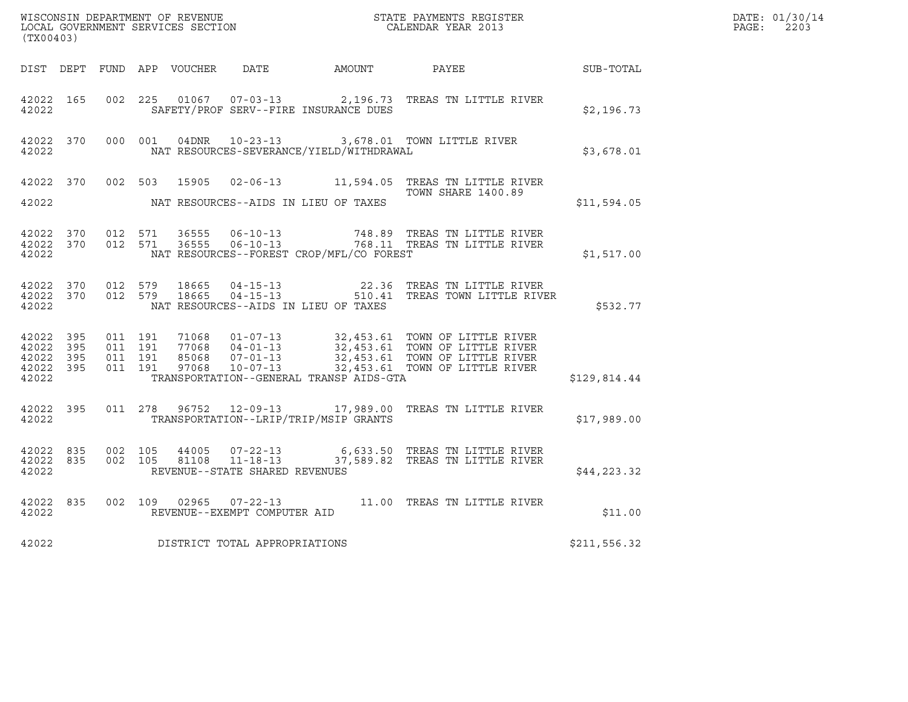| (TX00403) |           |  |                                |                                            |                                                                                                                                                                                                                                                                                                       |              | DATE: 01/30/14<br>$\mathtt{PAGE:}$<br>2203 |
|-----------|-----------|--|--------------------------------|--------------------------------------------|-------------------------------------------------------------------------------------------------------------------------------------------------------------------------------------------------------------------------------------------------------------------------------------------------------|--------------|--------------------------------------------|
|           |           |  |                                |                                            | DIST DEPT FUND APP VOUCHER DATE AMOUNT PAYEE                                                                                                                                                                                                                                                          | SUB-TOTAL    |                                            |
| 42022     |           |  |                                | SAFETY/PROF SERV--FIRE INSURANCE DUES      | 42022 165 002 225 01067 07-03-13 2,196.73 TREAS TN LITTLE RIVER                                                                                                                                                                                                                                       | \$2,196.73   |                                            |
| 42022     |           |  |                                | NAT RESOURCES-SEVERANCE/YIELD/WITHDRAWAL   | 42022 370 000 001 04DNR 10-23-13 3,678.01 TOWN LITTLE RIVER                                                                                                                                                                                                                                           | \$3,678.01   |                                            |
|           |           |  |                                |                                            | 42022 370 002 503 15905 02-06-13 11,594.05 TREAS TN LITTLE RIVER<br><b>TOWN SHARE 1400.89</b>                                                                                                                                                                                                         | \$11,594.05  |                                            |
| 42022     |           |  |                                | NAT RESOURCES--FOREST CROP/MFL/CO FOREST   |                                                                                                                                                                                                                                                                                                       | \$1,517.00   |                                            |
|           |           |  |                                | 42022 NAT RESOURCES--AIDS IN LIEU OF TAXES | $\begin{array}{cccccccc} 42022& 370& 012& 579& 18665& 04-15-13& & & & 22.36 & \text{TREAS TN LITTLE RIVER\\ 42022& 370& 012& 579& 18665& 04-15-13& & & 510.41 & \text{TREAS TOWN LITTLE RIVER \end{array}$                                                                                            | \$532.77     |                                            |
| 42022     |           |  |                                | TRANSPORTATION--GENERAL TRANSP AIDS-GTA    | $\begin{array}{cccccccc} 42022& 395& 011& 191& 71068& 01-07-13& 32,453.61& \text{TOWN OF LITTEL RIVER}\\ 42022& 395& 011& 191& 77068& 04-01-13& 32,453.61& \text{TOWN OF LITTEL RIVER}\\ 42022& 395& 011& 191& 85068& 07-01-13& 32,453.61& \text{TOWN OF LITTEL RIVER}\\ 42022& 395& 011& 191& 97068$ | \$129,814.44 |                                            |
| 42022     | 42022 395 |  |                                | TRANSPORTATION--LRIP/TRIP/MSIP GRANTS      | 011  278  96752  12-09-13  17,989.00  TREAS TN LITTLE RIVER                                                                                                                                                                                                                                           | \$17,989.00  |                                            |
| 42022     |           |  | REVENUE--STATE SHARED REVENUES |                                            | $\begin{array}{cccccc} 42022 & 835 & 002 & 105 & 44005 & 07-22-13 & & & 6,633.50 & \text{TREAS TN LITTLE RIVER \\ 42022 & 835 & 002 & 105 & 81108 & 11-18-13 & & & 37,589.82 & \text{TREAS TN LITTLE RIVER \end{array}$                                                                               | \$44, 223.32 |                                            |
| 42022     |           |  | REVENUE--EXEMPT COMPUTER AID   |                                            | 42022 835 002 109 02965 07-22-13 11.00 TREAS TN LITTLE RIVER                                                                                                                                                                                                                                          | \$11.00      |                                            |
| 42022     |           |  | DISTRICT TOTAL APPROPRIATIONS  |                                            |                                                                                                                                                                                                                                                                                                       | \$211,556.32 |                                            |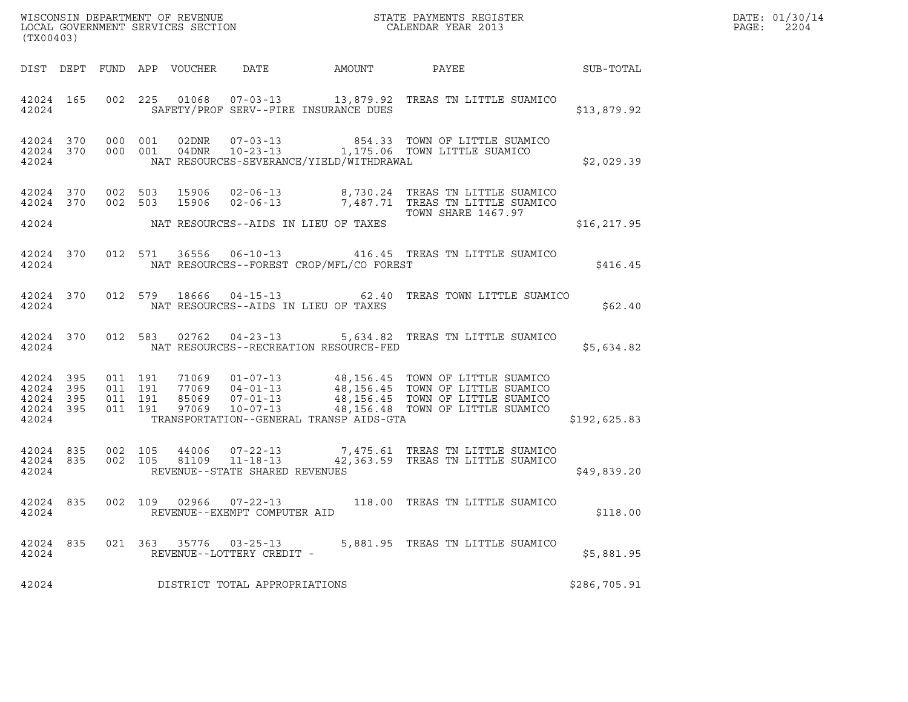| (TX00403)                                             |     |                                          |         |                            |                                                                    |                                          | ${\tt WISCOONSIM\ DEPARTMENT\ OF\ REVENUE}\qquad \qquad {\tt STATE\ PAYMENTS\ REGISTER\ LOCAL\ GOVERNMENT\ SERVICES\ SECTION\qquad \qquad {\tt CALENDAR\ YEAR\ 2013}$                                                |              | DATE: 01/30/14<br>PAGE:<br>2204 |
|-------------------------------------------------------|-----|------------------------------------------|---------|----------------------------|--------------------------------------------------------------------|------------------------------------------|----------------------------------------------------------------------------------------------------------------------------------------------------------------------------------------------------------------------|--------------|---------------------------------|
|                                                       |     |                                          |         | DIST DEPT FUND APP VOUCHER |                                                                    | DATE AMOUNT PAYEE                        | <b>SUB-TOTAL</b>                                                                                                                                                                                                     |              |                                 |
| 42024 165<br>42024                                    |     |                                          |         |                            |                                                                    | SAFETY/PROF SERV--FIRE INSURANCE DUES    | 002 225 01068 07-03-13 13,879.92 TREAS TN LITTLE SUAMICO                                                                                                                                                             | \$13,879.92  |                                 |
| 42024 370<br>42024                                    |     | 42024 370 000 001                        | 000 001 |                            |                                                                    | NAT RESOURCES-SEVERANCE/YIELD/WITHDRAWAL | 854.33 TOWN OF LITTLE SUAMICO                                                                                                                                                                                        | \$2,029.39   |                                 |
| 42024 370                                             |     | 42024 370 002 503<br>002 503             |         |                            |                                                                    |                                          | 15906  02-06-13  8,730.24  TREAS TN LITTLE SUAMICO<br>15906  02-06-13  7,487.71  TREAS TN LITTLE SUAMICO                                                                                                             |              |                                 |
| 42024                                                 |     |                                          |         |                            |                                                                    | NAT RESOURCES--AIDS IN LIEU OF TAXES     | TOWN SHARE 1467.97                                                                                                                                                                                                   | \$16, 217.95 |                                 |
| 42024 370<br>42024                                    |     |                                          |         |                            |                                                                    | NAT RESOURCES--FOREST CROP/MFL/CO FOREST | 012 571 36556 06-10-13 416.45 TREAS TN LITTLE SUAMICO                                                                                                                                                                | \$416.45     |                                 |
| 42024                                                 |     |                                          |         | 42024 370 012 579 18666    |                                                                    | NAT RESOURCES--AIDS IN LIEU OF TAXES     | 04-15-13 62.40 TREAS TOWN LITTLE SUAMICO                                                                                                                                                                             | \$62.40      |                                 |
| 42024 370<br>42024                                    |     |                                          |         |                            |                                                                    | NAT RESOURCES--RECREATION RESOURCE-FED   | 012 583 02762 04-23-13 5,634.82 TREAS TN LITTLE SUAMICO                                                                                                                                                              | \$5,634.82   |                                 |
| 42024 395<br>42024 395<br>42024<br>42024 395<br>42024 | 395 | 011 191<br>011 191<br>011 191<br>011 191 |         |                            |                                                                    | TRANSPORTATION--GENERAL TRANSP AIDS-GTA  | 71069  01-07-13  48,156.45  TOWN OF LITTLE SUAMICO<br>77069  04-01-13  48,156.45  TOWN OF LITTLE SUAMICO<br>85069  07-01-13  48,156.45  TOWN OF LITTLE SUAMICO<br>97069  10-07-13  48,156.48  TOWN OF LITTLE SUAMICO | \$192,625.83 |                                 |
| 42024 835<br>42024 835<br>42024                       |     | 002 105<br>002 105                       |         |                            | 44006 07-22-13<br>81109 11-18-13<br>REVENUE--STATE SHARED REVENUES |                                          | 7,475.61 TREAS TN LITTLE SUAMICO<br>42,363.59 TREAS TN LITTLE SUAMICO                                                                                                                                                | \$49,839.20  |                                 |
| 42024 835<br>42024                                    |     | 002 109                                  |         |                            | 02966  07-22-13<br>REVENUE--EXEMPT COMPUTER AID                    |                                          | 118.00 TREAS TN LITTLE SUAMICO                                                                                                                                                                                       | \$118.00     |                                 |
| 42024 835<br>42024                                    |     |                                          |         |                            | 021 363 35776 03-25-13<br>REVENUE--LOTTERY CREDIT -                |                                          | 5,881.95 TREAS TN LITTLE SUAMICO                                                                                                                                                                                     | \$5,881.95   |                                 |
| 42024                                                 |     |                                          |         |                            | DISTRICT TOTAL APPROPRIATIONS                                      |                                          |                                                                                                                                                                                                                      | \$286,705.91 |                                 |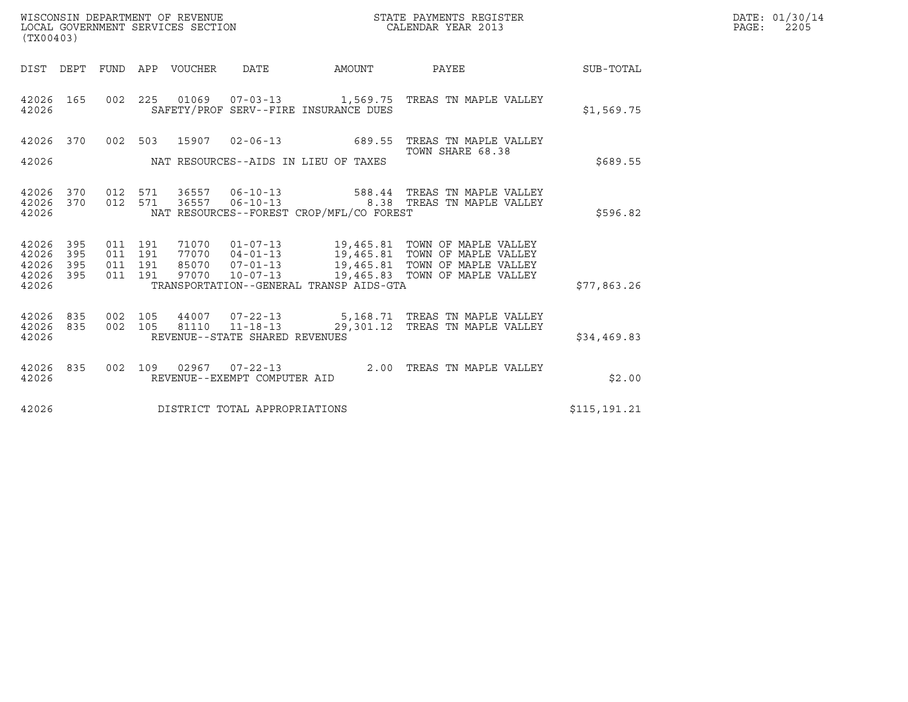| (TX00403)                                 |                          |                                          |                  | WISCONSIN DEPARTMENT OF REVENUE<br>LOCAL GOVERNMENT SERVICES SECTION |                                                               | STATE PAYMENTS REGISTER<br>CALENDAR YEAR 2013                                                                                                                                                                                |              | DATE: 01/30/14<br>PAGE:<br>2205 |
|-------------------------------------------|--------------------------|------------------------------------------|------------------|----------------------------------------------------------------------|---------------------------------------------------------------|------------------------------------------------------------------------------------------------------------------------------------------------------------------------------------------------------------------------------|--------------|---------------------------------|
| DIST DEPT                                 |                          |                                          | FUND APP VOUCHER | DATE                                                                 | AMOUNT                                                        | PAYEE                                                                                                                                                                                                                        | SUB-TOTAL    |                                 |
| 42026 165<br>42026                        |                          |                                          |                  |                                                                      | SAFETY/PROF SERV--FIRE INSURANCE DUES                         | 002 225 01069 07-03-13 1,569.75 TREAS TN MAPLE VALLEY                                                                                                                                                                        | \$1,569.75   |                                 |
| 42026                                     | 42026 370                |                                          | 002 503 15907    |                                                                      | $02 - 06 - 13$ 689.55<br>NAT RESOURCES--AIDS IN LIEU OF TAXES | TREAS TN MAPLE VALLEY<br>TOWN SHARE 68.38                                                                                                                                                                                    | \$689.55     |                                 |
| 42026 370<br>42026<br>42026               | 370                      | 012 571<br>012 571                       | 36557<br>36557   | $06 - 10 - 13$<br>$06 - 10 - 13$                                     | NAT RESOURCES--FOREST CROP/MFL/CO FOREST                      | 588.44 TREAS TN MAPLE VALLEY<br>8.38 TREAS TN MAPLE VALLEY                                                                                                                                                                   | \$596.82     |                                 |
| 42026<br>42026<br>42026<br>42026<br>42026 | 395<br>395<br>395<br>395 | 011 191<br>011 191<br>011 191<br>011 191 |                  |                                                                      | TRANSPORTATION--GENERAL TRANSP AIDS-GTA                       | 71070  01-07-13  19,465.81  TOWN OF MAPLE VALLEY<br>77070  04-01-13    19,465.81    TOWN OF MAPLE VALLEY<br>85070    07-01-13    19,465.81    TOWN OF MAPLE VALLEY<br>97070    10-07-13    19,465.83    TOWN OF MAPLE VALLEY | \$77,863.26  |                                 |
| 42026 835<br>42026<br>42026               | 835                      | 002 105<br>002 105                       |                  | REVENUE--STATE SHARED REVENUES                                       |                                                               | 44007  07-22-13  5,168.71  TREAS TN MAPLE VALLEY<br>81110  11-18-13  29,301.12  TREAS TN MAPLE VALLEY                                                                                                                        | \$34,469.83  |                                 |
| 42026 835<br>42026                        |                          | 002 109                                  |                  | $02967$ $07 - 22 - 13$<br>REVENUE--EXEMPT COMPUTER AID               |                                                               | 2.00 TREAS TN MAPLE VALLEY                                                                                                                                                                                                   | \$2.00       |                                 |
| 42026                                     |                          |                                          |                  | DISTRICT TOTAL APPROPRIATIONS                                        |                                                               |                                                                                                                                                                                                                              | \$115,191.21 |                                 |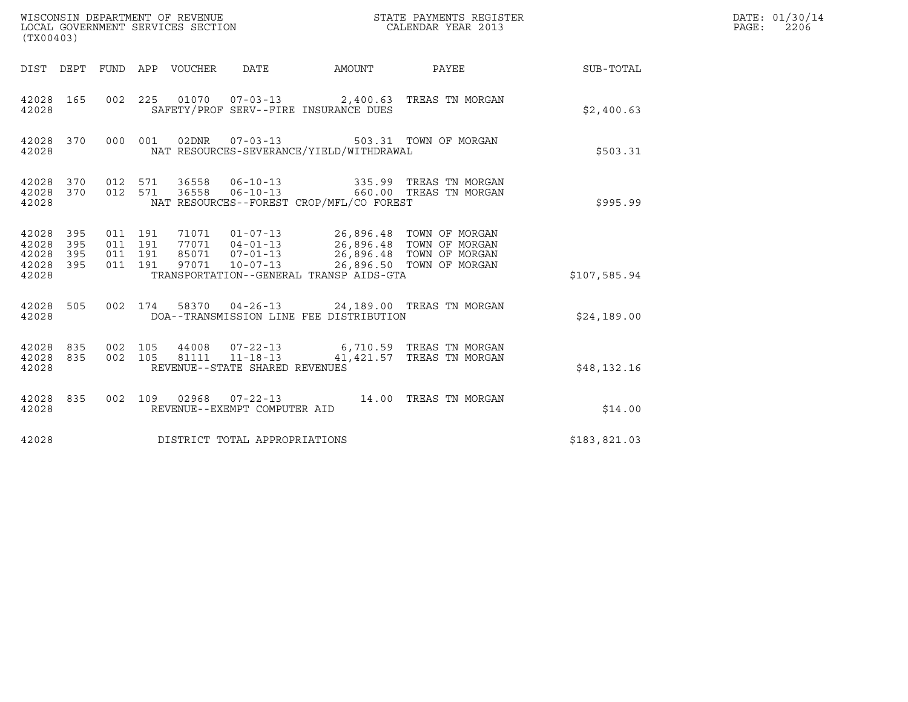| (TX00403)                                     |                   |                                          | WISCONSIN DEPARTMENT OF REVENUE<br>LOCAL GOVERNMENT SERVICES SECTION |                                                   |                                                                                          | STATE PAYMENTS REGISTER<br>CALENDAR YEAR 2013                                                                          |              | DATE: 01/30/14<br>$\mathtt{PAGE}$ :<br>2206 |
|-----------------------------------------------|-------------------|------------------------------------------|----------------------------------------------------------------------|---------------------------------------------------|------------------------------------------------------------------------------------------|------------------------------------------------------------------------------------------------------------------------|--------------|---------------------------------------------|
|                                               |                   |                                          | DIST DEPT FUND APP VOUCHER DATE                                      |                                                   | AMOUNT PAYEE                                                                             |                                                                                                                        | SUB-TOTAL    |                                             |
| 42028 165<br>42028                            |                   |                                          |                                                                      |                                                   | SAFETY/PROF SERV--FIRE INSURANCE DUES                                                    | 002 225 01070 07-03-13 2,400.63 TREAS TN MORGAN                                                                        | \$2,400.63   |                                             |
| 42028 370<br>42028                            |                   |                                          |                                                                      |                                                   | 000 001 02DNR 07-03-13 503.31 TOWN OF MORGAN<br>NAT RESOURCES-SEVERANCE/YIELD/WITHDRAWAL |                                                                                                                        | \$503.31     |                                             |
| 42028 370<br>42028 370<br>42028               |                   | 012 571<br>012 571                       | 36558<br>36558                                                       | $06 - 10 - 13$                                    | NAT RESOURCES--FOREST CROP/MFL/CO FOREST                                                 | 06-10-13 335.99 TREAS TN MORGAN<br>660.00 TREAS TN MORGAN                                                              | \$995.99     |                                             |
| 42028 395<br>42028<br>42028<br>42028<br>42028 | 395<br>395<br>395 | 011 191<br>011 191<br>011 191<br>011 191 |                                                                      |                                                   | 71071  01-07-13  26,896.48  TOWN OF MORGAN<br>TRANSPORTATION--GENERAL TRANSP AIDS-GTA    | 77071 04-01-13<br>85071 07-01-13<br>97071 10-07-13 26,896.48 TOWN OF MORGAN<br>97071 10-07-13 26,896.50 TOWN OF MORGAN | \$107,585.94 |                                             |
| 42028 505<br>42028                            |                   |                                          |                                                                      |                                                   | DOA--TRANSMISSION LINE FEE DISTRIBUTION                                                  | 002 174 58370 04-26-13 24,189.00 TREAS TN MORGAN                                                                       | \$24.189.00  |                                             |
| 42028 835<br>42028 835<br>42028               |                   | 002 105<br>002 105                       |                                                                      | 81111  11-18-13<br>REVENUE--STATE SHARED REVENUES |                                                                                          | 44008  07-22-13   6,710.59  TREAS TN MORGAN<br>41,421.57 TREAS TN MORGAN                                               | \$48,132.16  |                                             |
| 42028 835<br>42028                            |                   |                                          |                                                                      | REVENUE--EXEMPT COMPUTER AID                      |                                                                                          | 002 109 02968 07-22-13 14.00 TREAS TN MORGAN                                                                           | \$14.00      |                                             |
| 42028                                         |                   |                                          |                                                                      | DISTRICT TOTAL APPROPRIATIONS                     |                                                                                          |                                                                                                                        | \$183,821.03 |                                             |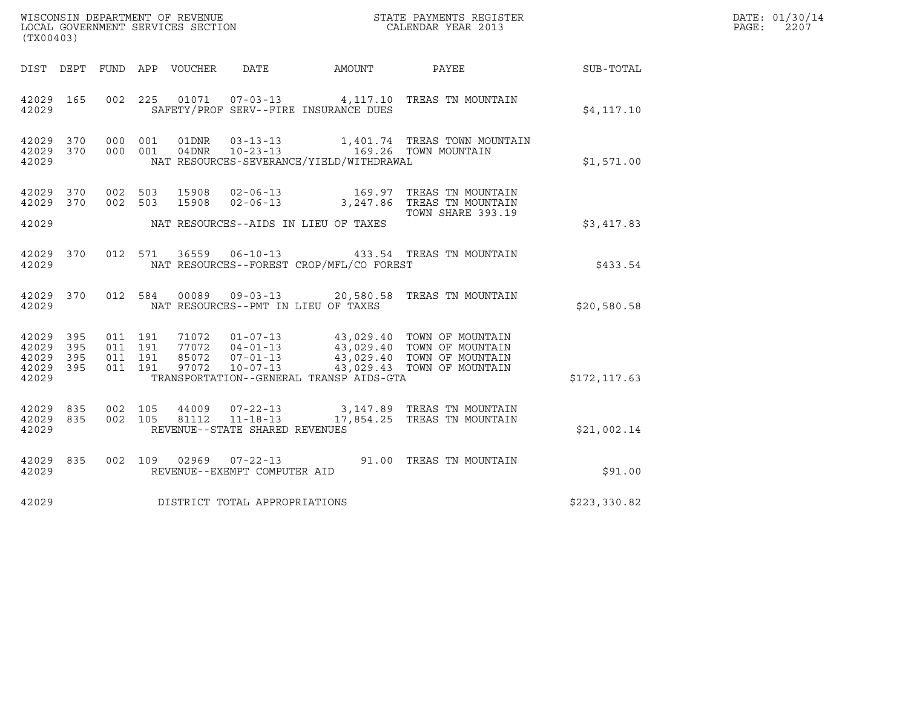| WISCONSIN DEPARTMENT OF REVENUE   | STATE PAYMENTS REGISTER | DATE: 01/30/14 |
|-----------------------------------|-------------------------|----------------|
| LOCAL GOVERNMENT SERVICES SECTION | CALENDAR YEAR 2013      | 2207<br>PAGE:  |

| (TX00403)                                                 |           |         |                                |                                                  |                                          | WISCONSIN DEPARTMENT OF REVENUE<br>LOCAL GOVERNMENT SERVICES SECTION<br>CALENDAR YEAR 2013                                                                                                                                                                                                                                                      |              | DATE: 01/30/14<br>PAGE:<br>2207 |
|-----------------------------------------------------------|-----------|---------|--------------------------------|--------------------------------------------------|------------------------------------------|-------------------------------------------------------------------------------------------------------------------------------------------------------------------------------------------------------------------------------------------------------------------------------------------------------------------------------------------------|--------------|---------------------------------|
|                                                           | DIST DEPT |         |                                |                                                  |                                          |                                                                                                                                                                                                                                                                                                                                                 |              |                                 |
| 42029 165<br>42029                                        |           |         |                                |                                                  | SAFETY/PROF SERV--FIRE INSURANCE DUES    | 002 225 01071 07-03-13 4,117.10 TREAS TN MOUNTAIN                                                                                                                                                                                                                                                                                               | \$4,117.10   |                                 |
| 42029 370<br>42029 370<br>42029                           |           |         |                                |                                                  | NAT RESOURCES-SEVERANCE/YIELD/WITHDRAWAL | 000 001 01DNR 03-13-13 1,401.74 TREAS TOWN MOUNTAIN<br>000 001 04DNR 10-23-13 169.26 TOWN MOUNTAIN                                                                                                                                                                                                                                              | \$1,571.00   |                                 |
| 42029 370<br>42029 370                                    |           | 002 503 | 15908<br>002 503 15908         |                                                  |                                          | 02-06-13 169.97 TREAS TN MOUNTAIN<br>02-06-13 3,247.86 TREAS TN MOUNTAIN                                                                                                                                                                                                                                                                        |              |                                 |
| 42029                                                     |           |         |                                |                                                  | NAT RESOURCES--AIDS IN LIEU OF TAXES     | TOWN SHARE 393.19                                                                                                                                                                                                                                                                                                                               | \$3,417.83   |                                 |
| 42029                                                     | 42029 370 |         |                                |                                                  | NAT RESOURCES--FOREST CROP/MFL/CO FOREST | 012 571 36559 06-10-13 433.54 TREAS TN MOUNTAIN                                                                                                                                                                                                                                                                                                 | \$433.54     |                                 |
| 42029                                                     | 42029 370 |         |                                |                                                  | NAT RESOURCES--PMT IN LIEU OF TAXES      | 012 584 00089 09-03-13 20,580.58 TREAS TN MOUNTAIN                                                                                                                                                                                                                                                                                              | \$20,580.58  |                                 |
| 42029 395<br>42029 395<br>42029 395<br>42029 395<br>42029 |           |         |                                |                                                  | TRANSPORTATION--GENERAL TRANSP AIDS-GTA  | $\begin{array}{cccc} 011 & 191 & 71072 & 01\texttt{-}07\texttt{-}13 & 43\, , 029\, .40 & \texttt{TOWN OF MOUNTAIN} \\ 011 & 191 & 77072 & 04\texttt{-}01\texttt{-}13 & 43\, , 029\, .40 & \texttt{TOWN OF MOUNTAIN} \\ 011 & 191 & 85072 & 07\texttt{-}01\texttt{-}13 & 43\, , 029\, .40 & \texttt{TOWN OF MOUNTAIN} \\ 011 & 191 & 97072 & 10$ | \$172,117.63 |                                 |
| 42029 835<br>42029 835<br>42029                           |           |         | 002 105 44009<br>002 105 81112 | $11 - 18 - 13$<br>REVENUE--STATE SHARED REVENUES |                                          | 07-22-13 3,147.89 TREAS TN MOUNTAIN<br>17,854.25 TREAS TN MOUNTAIN                                                                                                                                                                                                                                                                              | \$21,002.14  |                                 |
| 42029 835<br>42029                                        |           |         |                                | REVENUE--EXEMPT COMPUTER AID                     |                                          | 002 109 02969 07-22-13 91.00 TREAS TN MOUNTAIN                                                                                                                                                                                                                                                                                                  | \$91.00      |                                 |
| 42029                                                     |           |         |                                | DISTRICT TOTAL APPROPRIATIONS                    |                                          |                                                                                                                                                                                                                                                                                                                                                 | \$223,330.82 |                                 |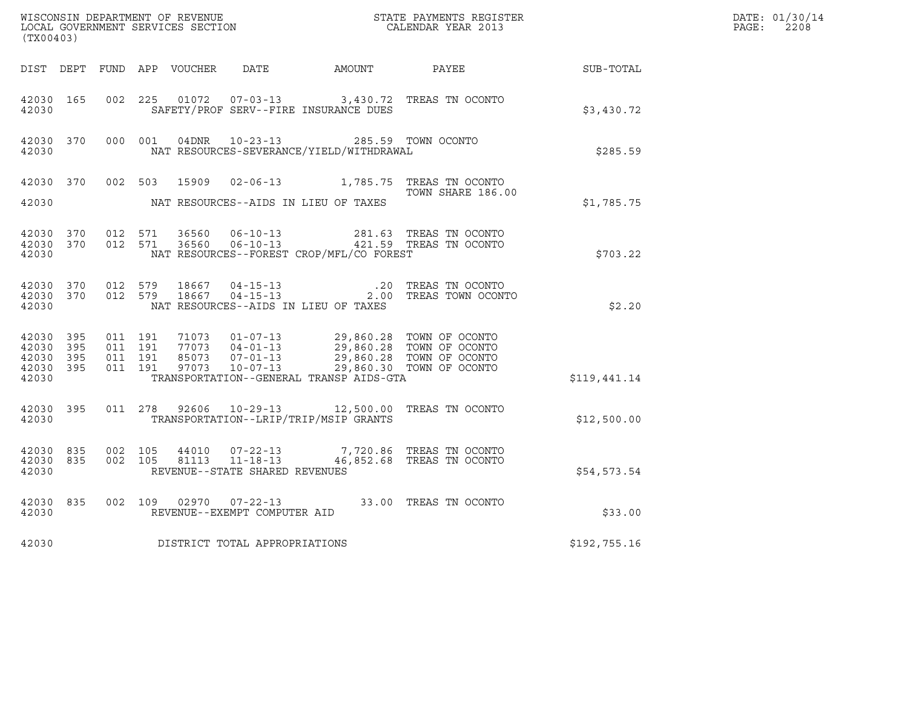| (TX00403)                                    |           |                              |                                          |                |                                |                                                                                                                                                                                                                                 | $\tt WISCONSIM DEPARTMENT OF REVENUE$ $\tt WISCONMIN SERS THE RX SECHIONLOCAL GOVERNMENT SERIES SECTION CALENDAR YEAR 2013$ |              | DATE: 01/30/14<br>PAGE:<br>2208 |
|----------------------------------------------|-----------|------------------------------|------------------------------------------|----------------|--------------------------------|---------------------------------------------------------------------------------------------------------------------------------------------------------------------------------------------------------------------------------|-----------------------------------------------------------------------------------------------------------------------------|--------------|---------------------------------|
|                                              |           |                              |                                          |                |                                |                                                                                                                                                                                                                                 | DIST DEPT FUND APP VOUCHER DATE AMOUNT PAYEE TO SUB-TOTAL                                                                   |              |                                 |
| 42030 165<br>42030                           |           | 002 225                      |                                          |                |                                | SAFETY/PROF SERV--FIRE INSURANCE DUES                                                                                                                                                                                           | 01072  07-03-13  3,430.72  TREAS TN OCONTO                                                                                  | \$3,430.72   |                                 |
| 42030                                        | 42030 370 |                              | 000 001                                  |                |                                | 04DNR  10-23-13  285.59  TOWN OCONTO<br>NAT RESOURCES-SEVERANCE/YIELD/WITHDRAWAL                                                                                                                                                |                                                                                                                             | \$285.59     |                                 |
| 42030                                        |           |                              |                                          |                |                                | NAT RESOURCES--AIDS IN LIEU OF TAXES                                                                                                                                                                                            | 42030 370 002 503 15909 02-06-13 1,785.75 TREAS TN OCONTO<br>TOWN SHARE 186.00                                              | \$1,785.75   |                                 |
| 42030                                        | 42030 370 | 42030 370 012 571            | 012 571                                  | 36560<br>36560 |                                | NAT RESOURCES--FOREST CROP/MFL/CO FOREST                                                                                                                                                                                        | 06-10-13 281.63 TREAS TN OCONTO<br>06-10-13 421.59 TREAS TN OCONTO                                                          | \$703.22     |                                 |
| 42030                                        | 42030 370 | 42030 370 012 579            | 012 579                                  |                |                                | NAT RESOURCES--AIDS IN LIEU OF TAXES                                                                                                                                                                                            | 2.00 TREAS TOWN OCONTO                                                                                                      | \$2.20       |                                 |
| 42030 395<br>42030 395<br>42030 395<br>42030 | 42030 395 |                              | 011 191<br>011 191<br>011 191<br>011 191 |                |                                | 71073  01-07-13  29,860.28  TOWN OF OCONTO<br>77073  04-01-13  29,860.28  TOWN OF OCONTO<br>85073  07-01-13  29,860.28  TOWN OF OCONTO<br>97073  10-07-13  29,860.30  TOWN OF OCONTO<br>TRANSPORTATION--GENERAL TRANSP AIDS-GTA |                                                                                                                             | \$119,441.14 |                                 |
| 42030 395<br>42030                           |           | 011 278                      |                                          |                |                                | TRANSPORTATION--LRIP/TRIP/MSIP GRANTS                                                                                                                                                                                           | 92606  10-29-13  12,500.00 TREAS TN OCONTO                                                                                  | \$12,500.00  |                                 |
| 42030                                        | 42030 835 | 42030 835 002 105<br>002 105 |                                          |                | REVENUE--STATE SHARED REVENUES |                                                                                                                                                                                                                                 | $44010$ $07-22-13$ $7,720.86$ TREAS TN OCONTO 81113 11-18-13 $46,852.68$ TREAS TN OCONTO                                    | \$54,573.54  |                                 |
| 42030                                        | 42030 835 |                              |                                          |                | REVENUE--EXEMPT COMPUTER AID   |                                                                                                                                                                                                                                 | 002 109 02970 07-22-13 33.00 TREAS TN OCONTO                                                                                | \$33.00      |                                 |
| 42030                                        |           |                              |                                          |                | DISTRICT TOTAL APPROPRIATIONS  |                                                                                                                                                                                                                                 |                                                                                                                             | \$192,755.16 |                                 |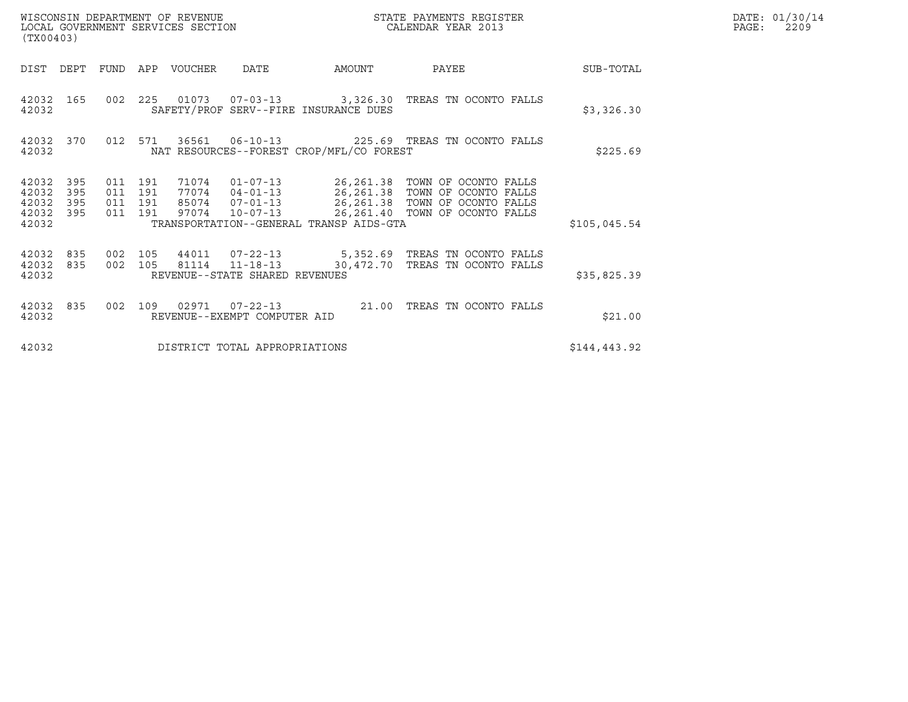| (TX00403)                                         |                        |                               |                                 |                                |                                          |                                                                                                                                                                                                                   |              | DATE: 01/30/14<br>$\mathtt{PAGE:}$<br>2209 |
|---------------------------------------------------|------------------------|-------------------------------|---------------------------------|--------------------------------|------------------------------------------|-------------------------------------------------------------------------------------------------------------------------------------------------------------------------------------------------------------------|--------------|--------------------------------------------|
|                                                   |                        |                               | DIST DEPT FUND APP VOUCHER DATE |                                | AMOUNT                                   | <b>PAYEE</b>                                                                                                                                                                                                      | SUB-TOTAL    |                                            |
| 42032                                             |                        |                               |                                 |                                | SAFETY/PROF SERV--FIRE INSURANCE DUES    | 42032 165 002 225 01073 07-03-13 3,326.30 TREAS TN OCONTO FALLS                                                                                                                                                   | \$3,326.30   |                                            |
| 42032                                             | 42032 370              |                               |                                 |                                | NAT RESOURCES--FOREST CROP/MFL/CO FOREST | 012 571 36561 06-10-13 225.69 TREAS TN OCONTO FALLS                                                                                                                                                               | \$225.69     |                                            |
| 42032 395<br>42032<br>42032<br>42032 395<br>42032 | 395<br>395             | 011 191<br>011 191<br>011 191 |                                 |                                | TRANSPORTATION--GENERAL TRANSP AIDS-GTA  | 71074  01-07-13  26,261.38  TOWN OF OCONTO FALLS<br>77074  04-01-13  26,261.38  TOWN OF OCONTO FALLS<br>85074  07-01-13  26,261.38  TOWN OF OCONTO FALLS<br>011 191 97074 10-07-13 26,261.40 TOWN OF OCONTO FALLS | \$105,045.54 |                                            |
| 42032                                             | 42032 835<br>42032 835 | 002 105<br>002 105            |                                 | REVENUE--STATE SHARED REVENUES |                                          | 44011  07-22-13  5,352.69  TREAS TN OCONTO FALLS<br>81114  11-18-13  30,472.70  TREAS TN OCONTO FALLS                                                                                                             | \$35,825.39  |                                            |
| 42032                                             | 42032 835              | 002 109                       |                                 | REVENUE--EXEMPT COMPUTER AID   |                                          | 02971  07-22-13  21.00 TREAS TN OCONTO FALLS                                                                                                                                                                      | \$21.00      |                                            |
| 42032                                             |                        |                               |                                 | DISTRICT TOTAL APPROPRIATIONS  |                                          |                                                                                                                                                                                                                   | \$144,443.92 |                                            |

WISCONSIN DEPARTMENT OF REVENUE<br>LOCAL GOVERNMENT SERVICES SECTION STATE PAYMENTS REGISTER SEGISTER SERVICES OF SAGE: 2209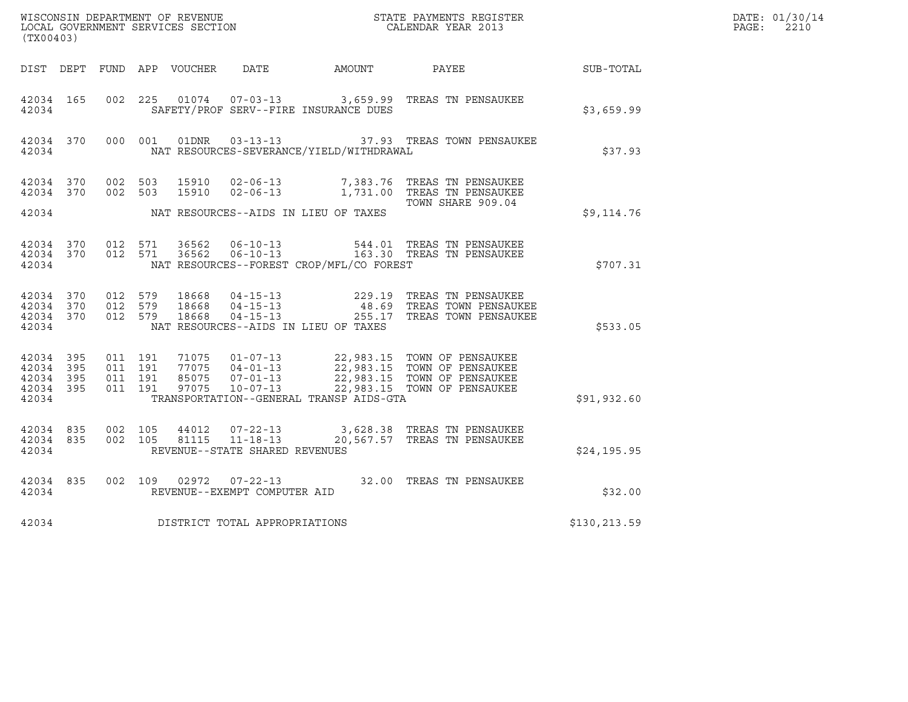| (TX00403)                                                 |           |                                         |         |                         |                                                  |                                              | DATE: 01/30/14<br>$\mathtt{PAGE:}$<br>2210                                                                                                                                     |              |  |
|-----------------------------------------------------------|-----------|-----------------------------------------|---------|-------------------------|--------------------------------------------------|----------------------------------------------|--------------------------------------------------------------------------------------------------------------------------------------------------------------------------------|--------------|--|
|                                                           |           |                                         |         |                         |                                                  | DIST DEPT FUND APP VOUCHER DATE AMOUNT PAYEE |                                                                                                                                                                                | SUB-TOTAL    |  |
| 42034 165<br>42034                                        |           | 002 225                                 |         |                         |                                                  | SAFETY/PROF SERV--FIRE INSURANCE DUES        | 01074  07-03-13  3,659.99  TREAS TN PENSAUKEE                                                                                                                                  | \$3,659.99   |  |
| 42034 370<br>42034                                        |           |                                         | 000 001 |                         |                                                  | NAT RESOURCES-SEVERANCE/YIELD/WITHDRAWAL     | 01DNR  03-13-13    37.93    TREAS TOWN PENSAUKEE                                                                                                                               | \$37.93      |  |
| 42034 370                                                 |           | 42034 370 002 503<br>002 503            |         |                         |                                                  | NAT RESOURCES--AIDS IN LIEU OF TAXES         | 15910  02-06-13  7,383.76  TREAS TN PENSAUKEE<br>15910 02-06-13 1,731.00 TREAS TN PENSAUKEE<br>TOWN SHARE 909.04                                                               |              |  |
| 42034                                                     |           |                                         |         |                         |                                                  |                                              |                                                                                                                                                                                | \$9,114.76   |  |
| 42034                                                     | 42034 370 | 42034 370 012 571                       | 012 571 |                         |                                                  | NAT RESOURCES--FOREST CROP/MFL/CO FOREST     | 36562   06-10-13   544.01   TREAS TN PENSAUKEE<br>36562   06-10-13   163.30   TREAS TN PENSAUKEE                                                                               | \$707.31     |  |
| 42034 370<br>42034 370<br>42034                           |           | 42034 370 012 579<br>012 579<br>012 579 |         | 18668<br>18668<br>18668 |                                                  | NAT RESOURCES--AIDS IN LIEU OF TAXES         | 04-15-13 229.19 TREAS TN PENSAUKEE<br>04-15-13 48.69 TREAS TOWN PENSAUKEE<br>04-15-13 255.17 TREAS TOWN PENSAUKEE                                                              | \$533.05     |  |
| 42034 395<br>42034 395<br>42034 395<br>42034 395<br>42034 |           | 011 191<br>011 191<br>011 191           | 011 191 | 97075                   | $10 - 07 - 13$                                   | TRANSPORTATION--GENERAL TRANSP AIDS-GTA      | 71075  01-07-13  22,983.15  TOWN OF PENSAUKEE<br>77075  04-01-13  22,983.15  TOWN OF PENSAUKEE<br>85075  07-01-13  22,983.15  TOWN OF PENSAUKEE<br>22,983.15 TOWN OF PENSAUKEE | \$91,932.60  |  |
| 42034 835<br>42034                                        | 42034 835 | 002 105<br>002 105                      |         | 44012<br>81115          | $11 - 18 - 13$<br>REVENUE--STATE SHARED REVENUES |                                              | 07-22-13 3,628.38 TREAS TN PENSAUKEE<br>20,567.57 TREAS TN PENSAUKEE                                                                                                           | \$24,195.95  |  |
| 42034                                                     | 42034 835 |                                         |         |                         | REVENUE--EXEMPT COMPUTER AID                     |                                              | 002 109 02972 07-22-13 32.00 TREAS TN PENSAUKEE                                                                                                                                | \$32.00      |  |
| 42034                                                     |           |                                         |         |                         | DISTRICT TOTAL APPROPRIATIONS                    |                                              |                                                                                                                                                                                | \$130,213.59 |  |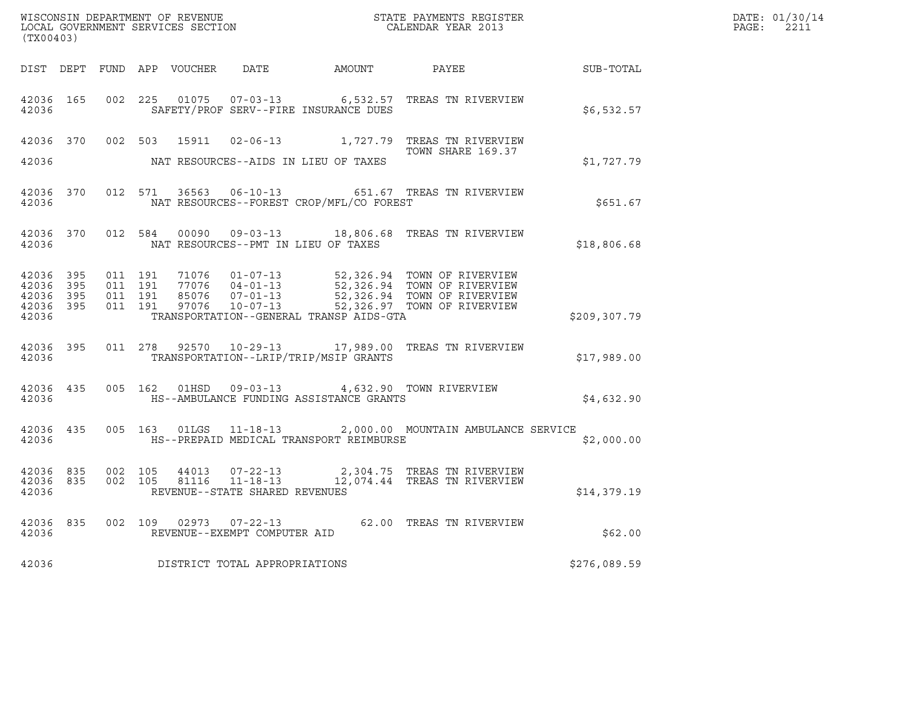|       | DATE: 01/30/14 |
|-------|----------------|
| PAGF: | 2211           |

| (TX00403)                       |                                            |                               |                                          |                                |                                                                                                     |                                                                                                                                                                                                  |               | DATE: 01/30/14<br>PAGE: 2211 |
|---------------------------------|--------------------------------------------|-------------------------------|------------------------------------------|--------------------------------|-----------------------------------------------------------------------------------------------------|--------------------------------------------------------------------------------------------------------------------------------------------------------------------------------------------------|---------------|------------------------------|
|                                 |                                            |                               |                                          |                                |                                                                                                     | DIST DEPT FUND APP VOUCHER DATE AMOUNT PAYEE THE SUB-TOTAL                                                                                                                                       |               |                              |
| 42036 165<br>42036              |                                            |                               |                                          |                                | SAFETY/PROF SERV--FIRE INSURANCE DUES                                                               | 002 225 01075 07-03-13 6,532.57 TREAS TN RIVERVIEW                                                                                                                                               | \$6,532.57    |                              |
|                                 |                                            |                               |                                          |                                |                                                                                                     | 42036 370 002 503 15911 02-06-13 1,727.79 TREAS TN RIVERVIEW<br>TOWN SHARE 169.37                                                                                                                |               |                              |
|                                 |                                            | 42036 and the state of $\sim$ |                                          |                                | NAT RESOURCES--AIDS IN LIEU OF TAXES                                                                |                                                                                                                                                                                                  | \$1,727.79    |                              |
| 42036                           |                                            |                               |                                          |                                | NAT RESOURCES--FOREST CROP/MFL/CO FOREST                                                            | 42036 370 012 571 36563 06-10-13 651.67 TREAS TN RIVERVIEW                                                                                                                                       | \$651.67      |                              |
| 42036                           | 42036 370                                  |                               |                                          |                                | NAT RESOURCES--PMT IN LIEU OF TAXES                                                                 | 012 584 00090 09-03-13 18,806.68 TREAS TN RIVERVIEW                                                                                                                                              | \$18,806.68   |                              |
| 42036 395<br>42036 395<br>42036 | 42036 395<br>42036 395                     |                               | 011 191<br>011 191<br>011 191<br>011 191 |                                | TRANSPORTATION--GENERAL TRANSP AIDS-GTA                                                             | 71076  01-07-13  52,326.94  TOWN OF RIVERVIEW<br>77076  04-01-13  52,326.94  TOWN OF RIVERVIEW<br>85076  07-01-13  52,326.94  TOWN OF RIVERVIEW<br>97076  10-07-13  52,326.97  TOWN OF RIVERVIEW | \$209, 307.79 |                              |
| 42036                           | 42036 395                                  |                               |                                          |                                | TRANSPORTATION--LRIP/TRIP/MSIP GRANTS                                                               | 011  278  92570  10-29-13  17,989.00 TREAS TN RIVERVIEW                                                                                                                                          | \$17,989.00   |                              |
| 42036                           |                                            |                               |                                          |                                | 42036 435 005 162 01HSD 09-03-13 4,632.90 TOWN RIVERVIEW<br>HS--AMBULANCE FUNDING ASSISTANCE GRANTS |                                                                                                                                                                                                  | \$4,632.90    |                              |
| 42036                           |                                            |                               |                                          |                                | HS--PREPAID MEDICAL TRANSPORT REIMBURSE                                                             | 42036 435 005 163 01LGS 11-18-13 2,000.00 MOUNTAIN AMBULANCE SERVICE                                                                                                                             | \$2,000.00    |                              |
| 42036                           | 42036 835<br>42036 835                     |                               |                                          | REVENUE--STATE SHARED REVENUES |                                                                                                     | 002 105 44013 07-22-13 2,304.75 TREAS TN RIVERVIEW<br>002 105 81116 11-18-13 12,074.44 TREAS TN RIVERVIEW                                                                                        | \$14,379.19   |                              |
|                                 | 42036 835<br>42036 and the state of $\sim$ |                               |                                          | REVENUE--EXEMPT COMPUTER AID   |                                                                                                     | 002 109 02973 07-22-13 62.00 TREAS TN RIVERVIEW                                                                                                                                                  | \$62.00       |                              |
| 42036                           |                                            |                               |                                          | DISTRICT TOTAL APPROPRIATIONS  |                                                                                                     |                                                                                                                                                                                                  | \$276,089.59  |                              |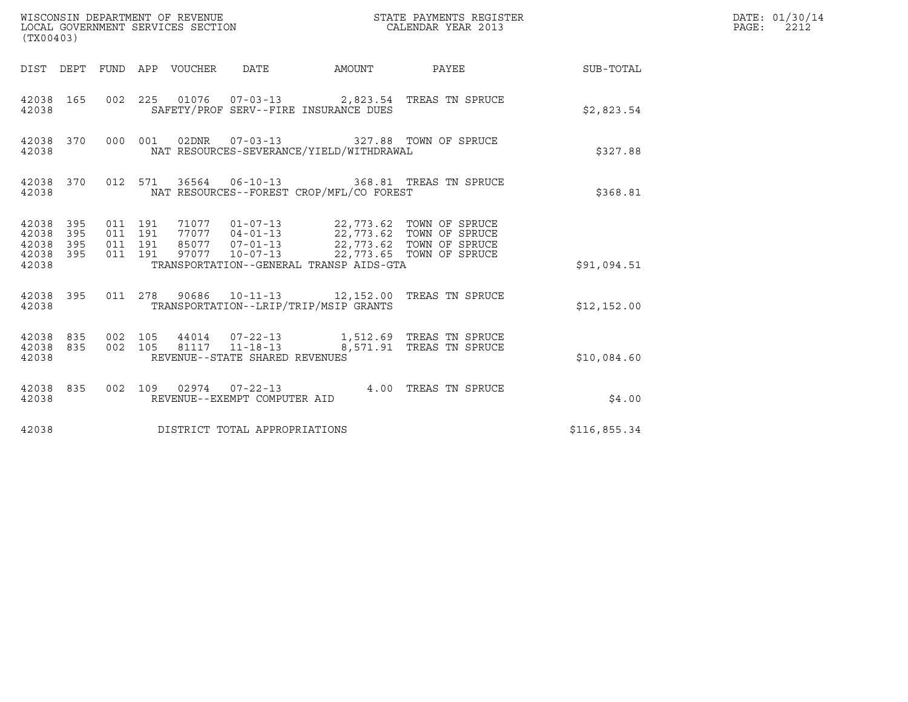| (TX00403)                                         |                        |                    |                                 |                                                   |                                          |                                                                                                                                                                                      |              | DATE: 01/30/14<br>PAGE: 2212 |
|---------------------------------------------------|------------------------|--------------------|---------------------------------|---------------------------------------------------|------------------------------------------|--------------------------------------------------------------------------------------------------------------------------------------------------------------------------------------|--------------|------------------------------|
|                                                   |                        |                    | DIST DEPT FUND APP VOUCHER DATE |                                                   |                                          | AMOUNT PAYEE                                                                                                                                                                         | SUB-TOTAL    |                              |
| 42038                                             |                        |                    |                                 | SAFETY/PROF SERV--FIRE INSURANCE DUES             |                                          | 42038 165 002 225 01076 07-03-13 2,823.54 TREAS TN SPRUCE                                                                                                                            | \$2,823.54   |                              |
| 42038                                             | 42038 370              |                    | 000 001 02DNR 07-03-13          |                                                   | NAT RESOURCES-SEVERANCE/YIELD/WITHDRAWAL | 327.88 TOWN OF SPRUCE                                                                                                                                                                | \$327.88     |                              |
| 42038                                             |                        |                    |                                 |                                                   | NAT RESOURCES--FOREST CROP/MFL/CO FOREST | 42038 370 012 571 36564 06-10-13 368.81 TREAS TN SPRUCE                                                                                                                              | \$368.81     |                              |
| 42038 395<br>42038<br>42038<br>42038 395<br>42038 | 395<br>395             | 011 191            | 011 191<br>011 191<br>011 191   |                                                   | TRANSPORTATION--GENERAL TRANSP AIDS-GTA  | 71077  01-07-13  22,773.62  TOWN OF SPRUCE<br>77077  04-01-13  22,773.62  TOWN OF SPRUCE<br>85077  07-01-13  22,773.62  TOWN OF SPRUCE<br>97077  10-07-13  22,773.65  TOWN OF SPRUCE | \$91,094.51  |                              |
| 42038                                             |                        |                    |                                 | TRANSPORTATION--LRIP/TRIP/MSIP GRANTS             |                                          | 42038 395 011 278 90686 10-11-13 12,152.00 TREAS TN SPRUCE                                                                                                                           | \$12,152.00  |                              |
| 42038                                             | 42038 835<br>42038 835 | 002 105<br>002 105 |                                 | 81117  11-18-13<br>REVENUE--STATE SHARED REVENUES |                                          | 8,571.91 TREAS TN SPRUCE                                                                                                                                                             | \$10,084.60  |                              |
| 42038                                             | 42038 835              |                    |                                 | REVENUE--EXEMPT COMPUTER AID                      |                                          | 002 109 02974 07-22-13 4.00 TREAS TN SPRUCE                                                                                                                                          | \$4.00       |                              |
| 42038                                             |                        |                    | DISTRICT TOTAL APPROPRIATIONS   |                                                   |                                          |                                                                                                                                                                                      | \$116,855.34 |                              |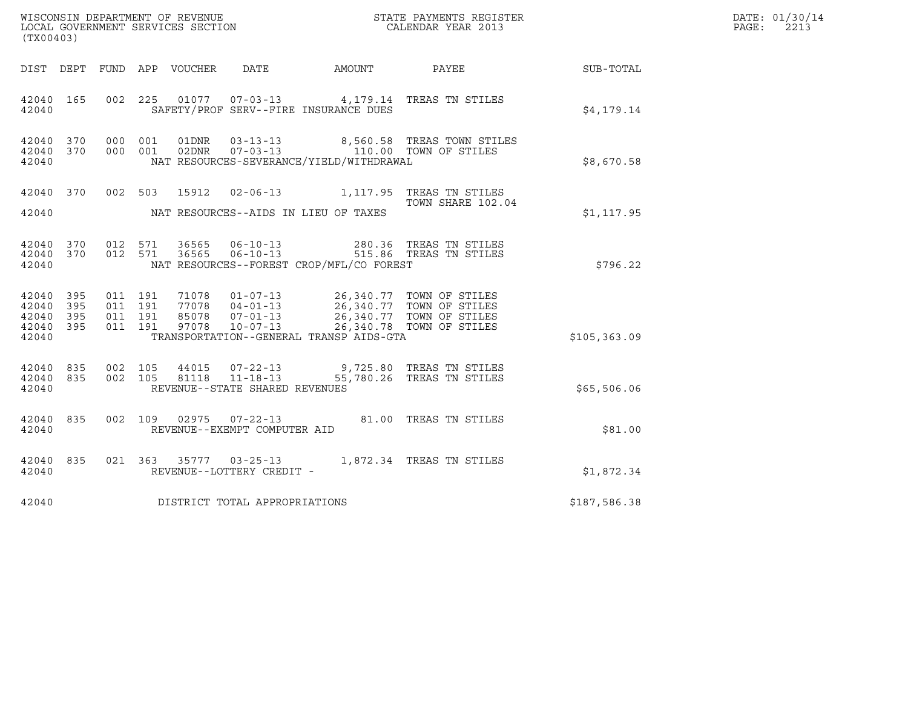| WISCONSIN DEPARTMENT OF REVENUE<br>LOCAL GOVERNMENT SERVICES SECTION | STATE PAYMENTS REGISTER<br>CALENDAR YEAR 2013 | DATE: 01/30/14<br>2213<br>PAGE: |
|----------------------------------------------------------------------|-----------------------------------------------|---------------------------------|

| (TX00403)                                    |                        |  |                                     |                                            | WISCONSIN DEPARTMENT OF REVENUE<br>LOCAL GOVERNMENT SERVICES SECTION<br>CALENDAR YEAR 2013                                                                                                                 |                                                        | DATE: 01/30/14<br>PAGE: 2213 |
|----------------------------------------------|------------------------|--|-------------------------------------|--------------------------------------------|------------------------------------------------------------------------------------------------------------------------------------------------------------------------------------------------------------|--------------------------------------------------------|------------------------------|
|                                              |                        |  |                                     |                                            |                                                                                                                                                                                                            | DIST DEPT FUND APP VOUCHER DATE AMOUNT PAYEE SUB-TOTAL |                              |
| 42040                                        | 42040 165              |  |                                     | SAFETY/PROF SERV--FIRE INSURANCE DUES      | 002 225 01077 07-03-13 4,179.14 TREAS TN STILES                                                                                                                                                            | \$4,179.14                                             |                              |
| 42040                                        | 42040 370<br>42040 370 |  |                                     | NAT RESOURCES-SEVERANCE/YIELD/WITHDRAWAL   | 000 001 01DNR 03-13-13 8,560.58 TREAS TOWN STILES<br>000 001 02DNR 07-03-13 110.00 TOWN OF STILES                                                                                                          | \$8,670.58                                             |                              |
|                                              |                        |  |                                     | 42040 NAT RESOURCES--AIDS IN LIEU OF TAXES | 42040 370 002 503 15912 02-06-13 1,117.95 TREAS TN STILES<br>TOWN SHARE 102.04                                                                                                                             | \$1,117.95                                             |                              |
| 42040                                        |                        |  |                                     | NAT RESOURCES--FOREST CROP/MFL/CO FOREST   | $\begin{array}{cccccccc} 42040 & 370 & 012 & 571 & 36565 & 06-10-13 & & & 280.36 & \text{TREAS TN STILES} \\ 42040 & 370 & 012 & 571 & 36565 & 06-10-13 & & & 515.86 & \text{TREAS TN STILES} \end{array}$ | \$796.22                                               |                              |
| 42040 395<br>42040 395<br>42040 395<br>42040 | 42040 395              |  |                                     | TRANSPORTATION--GENERAL TRANSP AIDS-GTA    | 011 191 71078 01-07-13 26,340.77 TOWN OF STILES<br>011 191 77078 04-01-13 26,340.77 TOWN OF STILES<br>011 191 85078 07-01-13 26,340.77 TOWN OF STILES<br>011 191 97078 10-07-13 26,340.78 TOWN OF STILES   | \$105,363.09                                           |                              |
| 42040 835<br>42040                           | 42040 835              |  | REVENUE--STATE SHARED REVENUES      |                                            | 002 105 44015 07-22-13 9,725.80 TREAS TN STILES<br>002 105 81118 11-18-13 55,780.26 TREAS TN STILES                                                                                                        | \$65,506.06                                            |                              |
| 42040                                        | 42040 835              |  | REVENUE--EXEMPT COMPUTER AID        |                                            | 002 109 02975 07-22-13 81.00 TREAS TN STILES                                                                                                                                                               | \$81.00                                                |                              |
| 42040                                        | 42040 835              |  |                                     |                                            |                                                                                                                                                                                                            | \$1,872.34                                             |                              |
|                                              |                        |  | 42040 DISTRICT TOTAL APPROPRIATIONS |                                            |                                                                                                                                                                                                            | \$187,586.38                                           |                              |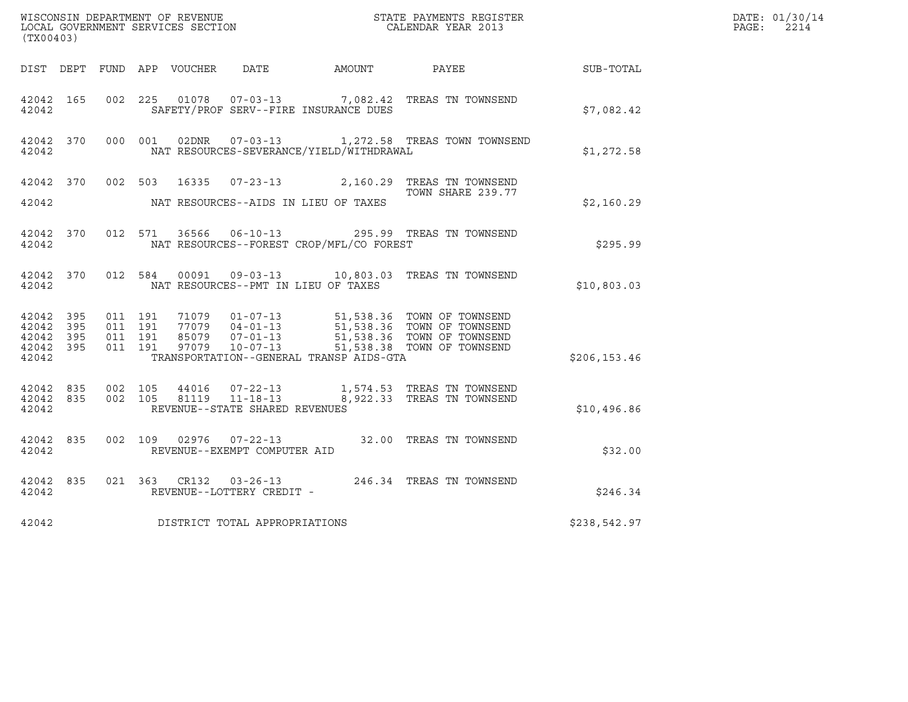| (TX00403)                                                 |                                          |         |                                |                                              | ${\tt WISCONSIM\ DEPARTMENT\ OF\ REVENUE}\qquad \qquad {\tt STATE\ PAYMENTS\ REGISTER} \\ {\tt LOCAL\ GOVERNMENT\ SERVICES\ SECTION}\qquad \qquad {\tt CALENDAR\ YEAR\ 2013}$                |                  | DATE: 01/30/14<br>$\mathtt{PAGE:}$<br>2214 |
|-----------------------------------------------------------|------------------------------------------|---------|--------------------------------|----------------------------------------------|----------------------------------------------------------------------------------------------------------------------------------------------------------------------------------------------|------------------|--------------------------------------------|
|                                                           |                                          |         |                                | DIST DEPT FUND APP VOUCHER DATE AMOUNT PAYEE |                                                                                                                                                                                              | <b>SUB-TOTAL</b> |                                            |
| 42042 165<br>42042                                        |                                          |         |                                | SAFETY/PROF SERV--FIRE INSURANCE DUES        | 002 225 01078 07-03-13 7,082.42 TREAS TN TOWNSEND                                                                                                                                            | \$7,082.42       |                                            |
| 42042 370<br>42042                                        |                                          |         |                                | NAT RESOURCES-SEVERANCE/YIELD/WITHDRAWAL     | 000 001 02DNR 07-03-13 1,272.58 TREAS TOWN TOWNSEND                                                                                                                                          | \$1,272.58       |                                            |
| 42042                                                     |                                          |         |                                | NAT RESOURCES--AIDS IN LIEU OF TAXES         | 42042 370 002 503 16335 07-23-13 2,160.29 TREAS TN TOWNSEND<br>TOWN SHARE 239.77                                                                                                             | \$2,160.29       |                                            |
| 42042                                                     |                                          |         |                                | NAT RESOURCES--FOREST CROP/MFL/CO FOREST     | 42042 370 012 571 36566 06-10-13 295.99 TREAS TN TOWNSEND                                                                                                                                    | \$295.99         |                                            |
| 42042 370<br>42042                                        |                                          | 012 584 |                                | NAT RESOURCES--PMT IN LIEU OF TAXES          | 00091  09-03-13  10,803.03  TREAS TN TOWNSEND                                                                                                                                                | \$10,803.03      |                                            |
| 42042 395<br>42042 395<br>42042 395<br>42042 395<br>42042 | 011 191<br>011 191<br>011 191<br>011 191 |         |                                | TRANSPORTATION--GENERAL TRANSP AIDS-GTA      | 71079  01-07-13  51,538.36  TOWN OF TOWNSEND<br>77079  04-01-13  51,538.36  TOWN OF TOWNSEND<br>85079  07-01-13  51,538.36  TOWN OF TOWNSEND<br>97079  10-07-13  51,538.38  TOWN OF TOWNSEND | \$206, 153.46    |                                            |
| 42042 835<br>42042                                        | 42042 835 002 105                        | 002 105 | REVENUE--STATE SHARED REVENUES |                                              | 44016  07-22-13   1,574.53   TREAS TN TOWNSEND<br>81119   11-18-13   8,922.33   TREAS TN TOWNSEND                                                                                            | \$10,496.86      |                                            |
| 42042 835<br>42042                                        |                                          |         | REVENUE--EXEMPT COMPUTER AID   |                                              | 002 109 02976 07-22-13 32.00 TREAS TN TOWNSEND                                                                                                                                               | \$32.00          |                                            |
| 42042 835<br>42042                                        |                                          |         | REVENUE--LOTTERY CREDIT -      |                                              | 021 363 CR132 03-26-13 246.34 TREAS TN TOWNSEND                                                                                                                                              | \$246.34         |                                            |
| 42042                                                     |                                          |         | DISTRICT TOTAL APPROPRIATIONS  |                                              |                                                                                                                                                                                              | \$238,542.97     |                                            |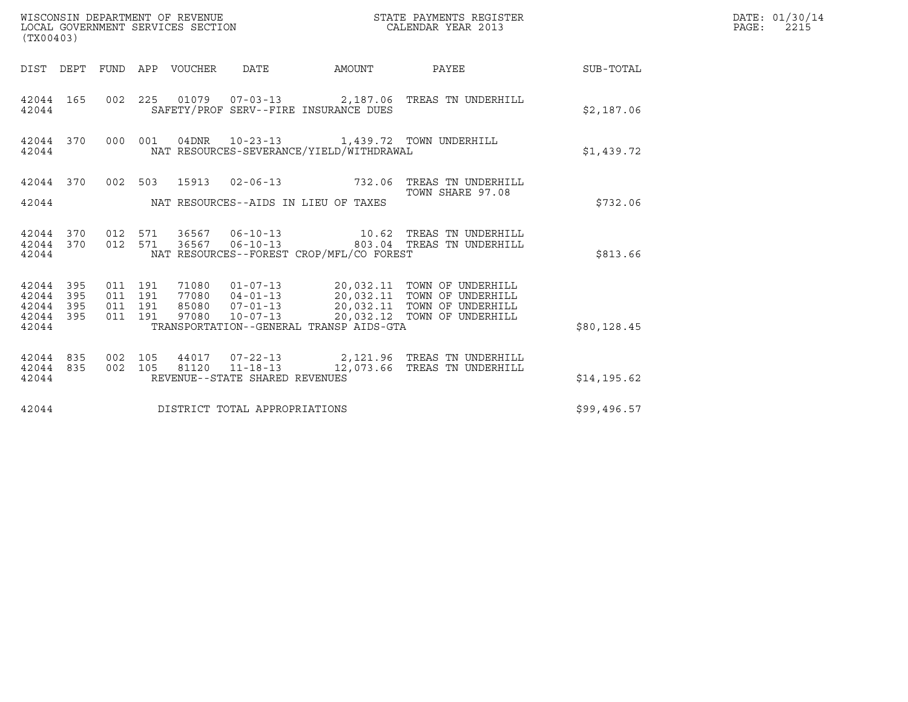| (TX00403)                                         |            |                                          |         | WISCONSIN DEPARTMENT OF REVENUE<br>LOCAL GOVERNMENT SERVICES SECTION |                                                  |                                                                                         | STATE PAYMENTS REGISTER<br>CALENDAR YEAR 2013                                                                                                                                                    |              | DATE: 01/30/14<br>$\mathtt{PAGE:}$<br>2215 |
|---------------------------------------------------|------------|------------------------------------------|---------|----------------------------------------------------------------------|--------------------------------------------------|-----------------------------------------------------------------------------------------|--------------------------------------------------------------------------------------------------------------------------------------------------------------------------------------------------|--------------|--------------------------------------------|
|                                                   |            |                                          |         | DIST DEPT FUND APP VOUCHER                                           | DATE                                             | AMOUNT                                                                                  | PAYEE                                                                                                                                                                                            | SUB-TOTAL    |                                            |
| 42044 165<br>42044                                |            |                                          |         |                                                                      |                                                  | SAFETY/PROF SERV--FIRE INSURANCE DUES                                                   | 002 225 01079 07-03-13 2,187.06 TREAS TN UNDERHILL                                                                                                                                               | \$2,187.06   |                                            |
| 42044 370<br>42044                                |            |                                          | 000 001 |                                                                      |                                                  | 04DNR  10-23-13   1,439.72   TOWN UNDERHILL<br>NAT RESOURCES-SEVERANCE/YIELD/WITHDRAWAL |                                                                                                                                                                                                  | \$1,439.72   |                                            |
|                                                   |            |                                          |         |                                                                      |                                                  |                                                                                         | 42044 370 002 503 15913 02-06-13 732.06 TREAS TN UNDERHILL<br>TOWN SHARE 97.08                                                                                                                   |              |                                            |
| 42044                                             |            |                                          |         |                                                                      |                                                  | NAT RESOURCES--AIDS IN LIEU OF TAXES                                                    |                                                                                                                                                                                                  | \$732.06     |                                            |
| 42044 370<br>42044 370<br>42044                   |            | 012 571<br>012 571                       |         | 36567                                                                |                                                  | NAT RESOURCES--FOREST CROP/MFL/CO FOREST                                                | 06-10-13 803.04 TREAS TN UNDERHILL                                                                                                                                                               | \$813.66     |                                            |
| 42044 395<br>42044<br>42044<br>42044 395<br>42044 | 395<br>395 | 011 191<br>011 191<br>011 191<br>011 191 |         |                                                                      |                                                  | TRANSPORTATION--GENERAL TRANSP AIDS-GTA                                                 | 71080  01-07-13  20,032.11  TOWN OF UNDERHILL<br>77080  04-01-13  20,032.11  TOWN OF UNDERHILL<br>85080  07-01-13  20,032.11  TOWN OF UNDERHILL<br>97080  10-07-13  20,032.12  TOWN OF UNDERHILL | \$80,128.45  |                                            |
| 42044 835<br>42044 835<br>42044                   |            | 002 105<br>002 105                       |         |                                                                      | 81120 11-18-13<br>REVENUE--STATE SHARED REVENUES |                                                                                         | 44017 07-22-13 2,121.96 TREAS TN UNDERHILL<br>12,073.66 TREAS TN UNDERHILL                                                                                                                       | \$14, 195.62 |                                            |
| 42044                                             |            |                                          |         |                                                                      | DISTRICT TOTAL APPROPRIATIONS                    |                                                                                         |                                                                                                                                                                                                  | \$99,496.57  |                                            |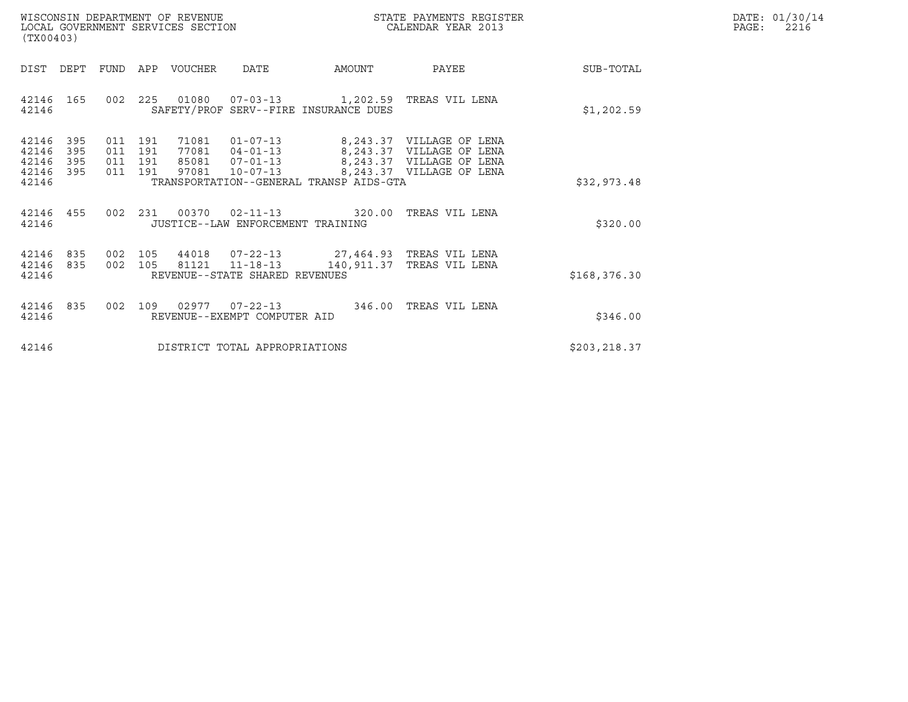| WISCONSIN DEPARTMENT OF REVENUE   | STATE PAYMENTS REGISTER | DATE: 01/30/14 |
|-----------------------------------|-------------------------|----------------|
| LOCAL GOVERNMENT SERVICES SECTION | CALENDAR YEAR 2013      | 2216<br>PAGE:  |

| WISCONSIN DEPARTMENT OF REVENUE<br>$\tt WISCONSIM DEPARTMENT OF REVENUE$ $\tt TOCAL ENDAR YEAR$ $2013$ $\tt COICAL GOVERNMENT$ $SERVICES$ $SECTION$<br>(TX00403) |                   |  |                               |  |                                                          |                                                                                         |                                                                                                                                                                                           |               | DATE: 01/30/14<br>$\mathtt{PAGE:}$<br>2216 |
|------------------------------------------------------------------------------------------------------------------------------------------------------------------|-------------------|--|-------------------------------|--|----------------------------------------------------------|-----------------------------------------------------------------------------------------|-------------------------------------------------------------------------------------------------------------------------------------------------------------------------------------------|---------------|--------------------------------------------|
| DIST DEPT                                                                                                                                                        |                   |  |                               |  |                                                          | FUND APP VOUCHER DATE AMOUNT                                                            | <b>PAYEE</b> PAYEE                                                                                                                                                                        | SUB-TOTAL     |                                            |
| 42146 165<br>42146                                                                                                                                               |                   |  |                               |  |                                                          | 002 225 01080 07-03-13 1,202.59 TREAS VIL LENA<br>SAFETY/PROF SERV--FIRE INSURANCE DUES |                                                                                                                                                                                           | \$1,202.59    |                                            |
| 42146<br>42146<br>42146<br>42146 395<br>42146                                                                                                                    | 395<br>395<br>395 |  | 011 191<br>011 191<br>011 191 |  |                                                          | TRANSPORTATION--GENERAL TRANSP AIDS-GTA                                                 | 71081  01-07-13  8,243.37  VILLAGE OF LENA<br>77081  04-01-13  8,243.37  VILLAGE OF LENA<br>85081  07-01-13  8,243.37  VILLAGE OF LENA<br>011 191 97081 10-07-13 8,243.37 VILLAGE OF LENA | \$32,973.48   |                                            |
| 42146 455<br>42146                                                                                                                                               |                   |  |                               |  | JUSTICE--LAW ENFORCEMENT TRAINING                        | 002 231 00370 02-11-13 320.00 TREAS VIL LENA                                            |                                                                                                                                                                                           | \$320.00      |                                            |
| 42146<br>42146<br>42146                                                                                                                                          | 835<br>835        |  |                               |  | 002 105 81121 11-18-13<br>REVENUE--STATE SHARED REVENUES | 002 105 44018 07-22-13 27,464.93 TREAS VIL LENA<br>140,911.37 TREAS VIL LENA            |                                                                                                                                                                                           | \$168, 376.30 |                                            |
| 42146 835<br>42146                                                                                                                                               |                   |  |                               |  | REVENUE--EXEMPT COMPUTER AID                             | 002 109 02977 07-22-13 346.00 TREAS VIL LENA                                            |                                                                                                                                                                                           | \$346.00      |                                            |
| 42146                                                                                                                                                            |                   |  |                               |  | DISTRICT TOTAL APPROPRIATIONS                            |                                                                                         |                                                                                                                                                                                           | \$203,218.37  |                                            |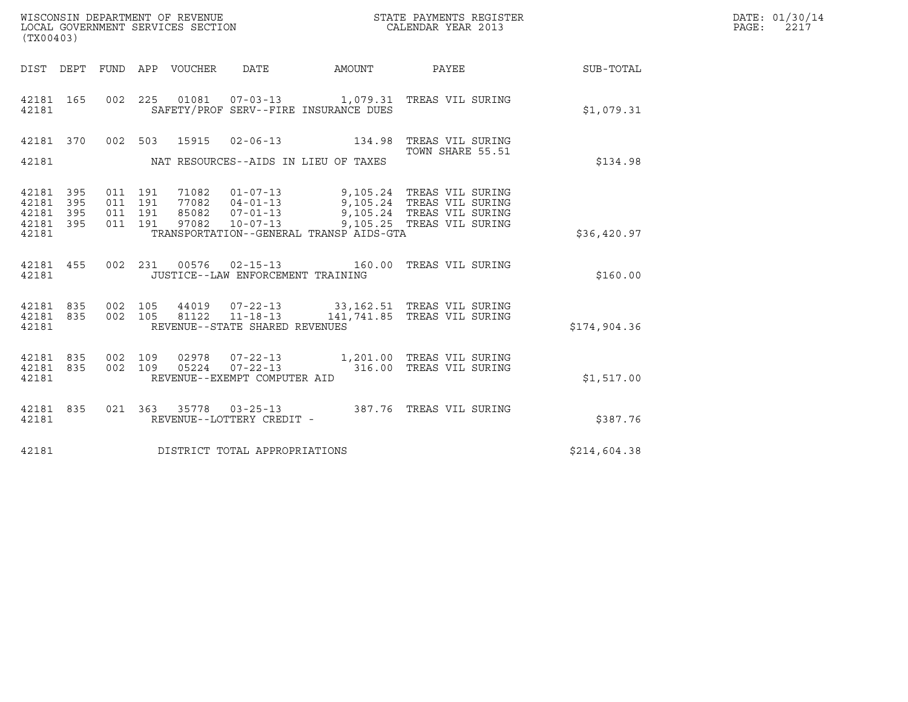| WISCONSIN DEPARTMENT OF REVENUE<br>LOCAL GOVERNMENT SERVICES SECTION<br>$(mv \wedge \wedge \wedge \wedge)$ | STATE PAYMENTS REGISTER<br>CALENDAR YEAR 2013 | DATE: 01/30/14<br>PAGE:<br>2217 |
|------------------------------------------------------------------------------------------------------------|-----------------------------------------------|---------------------------------|

| (TX00403)                                                 |                                                                                                                                                                                                                                                         |                  |              |
|-----------------------------------------------------------|---------------------------------------------------------------------------------------------------------------------------------------------------------------------------------------------------------------------------------------------------------|------------------|--------------|
| <b>DIST</b><br>DEPT<br>FUND                               | APP VOUCHER DATE AMOUNT PAYEE                                                                                                                                                                                                                           |                  | SUB-TOTAL    |
| 002<br>42181 165<br>42181                                 | 225  01081  07-03-13  1,079.31  TREAS VIL SURING<br>SAFETY/PROF SERV--FIRE INSURANCE DUES                                                                                                                                                               |                  | \$1,079.31   |
| 42181                                                     | 42181 370 002 503 15915 02-06-13 134.98 TREAS VIL SURING<br>NAT RESOURCES--AIDS IN LIEU OF TAXES                                                                                                                                                        | TOWN SHARE 55.51 | \$134.98     |
| 42181 395<br>42181 395<br>42181 395<br>42181 395<br>42181 | 011 191 71082 01-07-13 9,105.24 TREAS VIL SURING<br>011 191 77082 04-01-13 9,105.24 TREAS VIL SURING<br>011 191 85082 07-01-13 9,105.24 TREAS VIL SURING<br>011 191 97082 10-07-13 9,105.25 TREAS VIL SURING<br>TRANSPORTATION--GENERAL TRANSP AIDS-GTA |                  | \$36,420.97  |
| 455<br>002<br>42181<br>42181                              | 231  00576  02-15-13  160.00  TREAS VIL SURING<br>JUSTICE--LAW ENFORCEMENT TRAINING                                                                                                                                                                     |                  | \$160.00     |
| 42181 835<br>42181 835 002<br>42181                       | 002 105 44019 07-22-13 33,162.51 TREAS VIL SURING<br>002 105 81122 11-18-13 141,741.85 TREAS VIL SURING<br>REVENUE--STATE SHARED REVENUES                                                                                                               |                  | \$174,904.36 |
| 42181 835<br>002<br>42181 835<br>002<br>42181             | 109 02978 07-22-13 1,201.00 TREAS VIL SURING<br>109 05224 07-22-13 316.00 TREAS VIL SURING<br>REVENUE--EXEMPT COMPUTER AID                                                                                                                              |                  | \$1,517.00   |
| 42181 835<br>42181                                        | 021 363 35778 03-25-13 387.76 TREAS VIL SURING<br>REVENUE--LOTTERY CREDIT -                                                                                                                                                                             |                  | \$387.76     |
| 42181                                                     | DISTRICT TOTAL APPROPRIATIONS                                                                                                                                                                                                                           |                  | \$214,604.38 |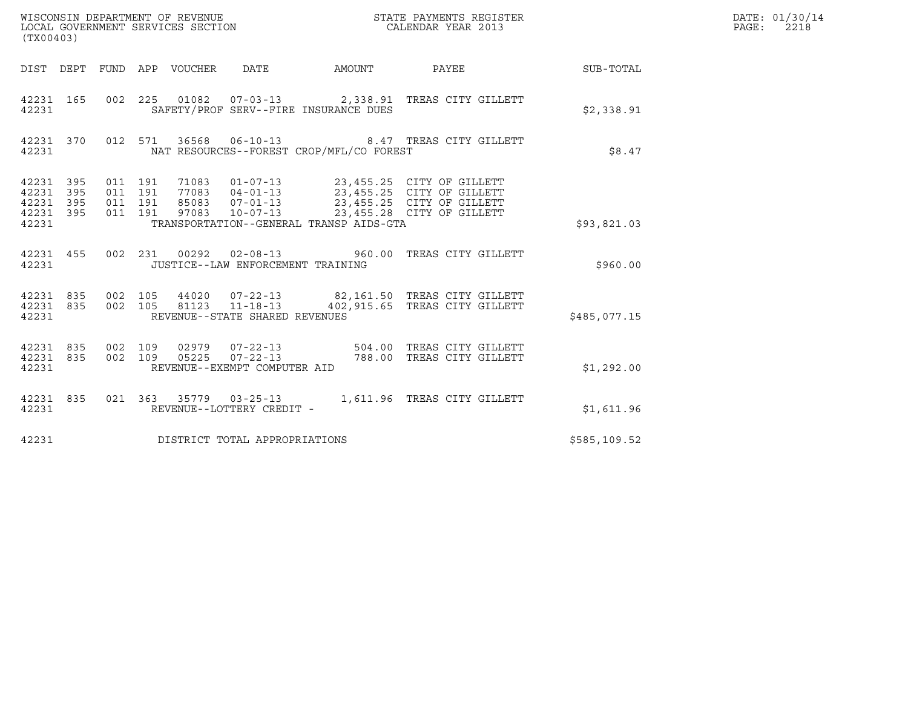| (TX00403)                                             |           |                                          |         |       | WISCONSIN DEPARTMENT OF REVENUE<br>LOCAL GOVERNMENT SERVICES SECTION |                                          | STATE PAYMENTS REGISTER<br>CALENDAR YEAR 2013                                  |              | DATE: 01/30/14<br>$\mathtt{PAGE:}$<br>2218 |
|-------------------------------------------------------|-----------|------------------------------------------|---------|-------|----------------------------------------------------------------------|------------------------------------------|--------------------------------------------------------------------------------|--------------|--------------------------------------------|
|                                                       |           |                                          |         |       |                                                                      |                                          | DIST DEPT FUND APP VOUCHER DATE AMOUNT PAYEE TO SUB-TOTAL                      |              |                                            |
| 42231 165<br>42231                                    |           |                                          |         |       |                                                                      | SAFETY/PROF SERV--FIRE INSURANCE DUES    | 002 225 01082 07-03-13 2,338.91 TREAS CITY GILLETT                             | \$2,338.91   |                                            |
| 42231                                                 | 42231 370 |                                          |         |       |                                                                      | NAT RESOURCES--FOREST CROP/MFL/CO FOREST | 012 571 36568 06-10-13 8.47 TREAS CITY GILLETT                                 | \$8.47       |                                            |
| 42231 395<br>42231<br>42231 395<br>42231 395<br>42231 | 395       | 011 191<br>011 191<br>011 191<br>011 191 |         | 71083 |                                                                      | TRANSPORTATION--GENERAL TRANSP AIDS-GTA  | 01-07-13 23,455.25 CITY OF GILLETT                                             | \$93,821.03  |                                            |
| 42231                                                 | 42231 455 |                                          |         |       | JUSTICE--LAW ENFORCEMENT TRAINING                                    |                                          | 002 231 00292 02-08-13 960.00 TREAS CITY GILLETT                               | \$960.00     |                                            |
| 42231 835<br>42231                                    | 42231 835 | 002 105                                  | 002 105 |       | 81123 11-18-13<br>REVENUE--STATE SHARED REVENUES                     |                                          | 44020  07-22-13  82,161.50 TREAS CITY GILLETT<br>402,915.65 TREAS CITY GILLETT | \$485,077.15 |                                            |
| 42231 835<br>42231 835<br>42231                       |           | 002 109<br>002 109                       |         | 05225 | $07 - 22 - 13$<br>REVENUE--EXEMPT COMPUTER AID                       |                                          | 02979  07-22-13  504.00  TREAS CITY GILLETT<br>788.00 TREAS CITY GILLETT       | \$1,292.00   |                                            |
| 42231 835<br>42231                                    |           |                                          |         |       | REVENUE--LOTTERY CREDIT -                                            |                                          | 021  363  35779  03-25-13  1,611.96  TREAS CITY GILLETT                        | \$1,611.96   |                                            |
| 42231                                                 |           |                                          |         |       | DISTRICT TOTAL APPROPRIATIONS                                        |                                          |                                                                                | \$585,109.52 |                                            |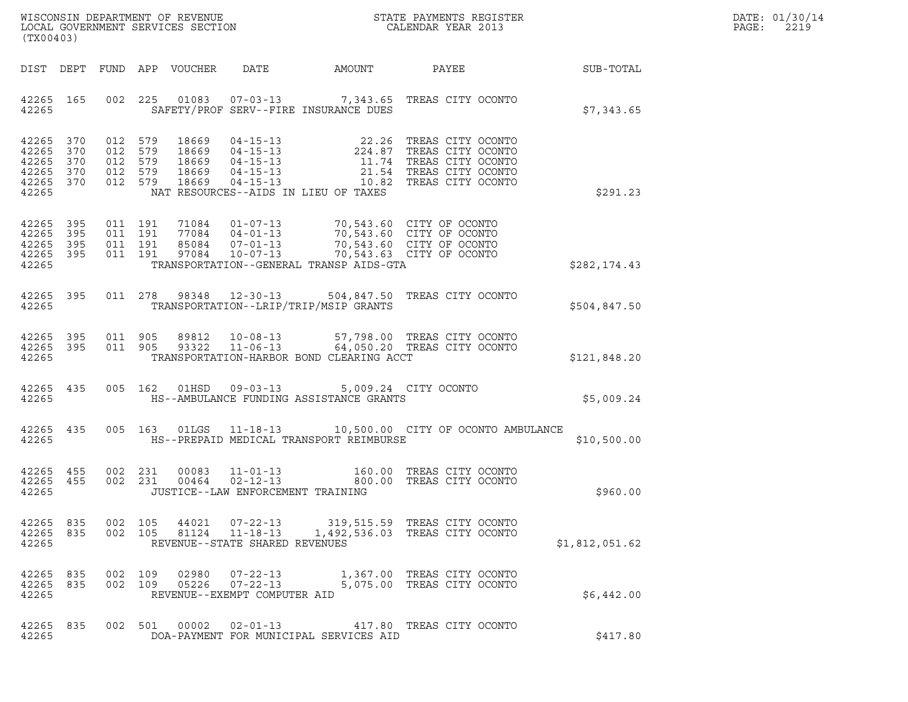|       | DATE: 01/30/14 |
|-------|----------------|
| PAGE: | 2219           |

| (TX00403)                                                  |                   |                                                     |                            |                                                 |                                                                                                                                                                                   |                                                                                                                                                                                   |                | DATE: 01/30/14<br>PAGE:<br>2219 |
|------------------------------------------------------------|-------------------|-----------------------------------------------------|----------------------------|-------------------------------------------------|-----------------------------------------------------------------------------------------------------------------------------------------------------------------------------------|-----------------------------------------------------------------------------------------------------------------------------------------------------------------------------------|----------------|---------------------------------|
|                                                            |                   |                                                     | DIST DEPT FUND APP VOUCHER | DATE                                            | AMOUNT                                                                                                                                                                            | PAYEE                                                                                                                                                                             | SUB-TOTAL      |                                 |
| 42265 165<br>42265                                         |                   |                                                     |                            |                                                 | SAFETY/PROF SERV--FIRE INSURANCE DUES                                                                                                                                             | 002 225 01083 07-03-13 7,343.65 TREAS CITY OCONTO                                                                                                                                 | \$7,343.65     |                                 |
| 42265 370<br>42265<br>42265<br>42265<br>42265 370<br>42265 | 370<br>370<br>370 | 012 579<br>012 579<br>012 579<br>012 579<br>012 579 |                            |                                                 | NAT RESOURCES--AIDS IN LIEU OF TAXES                                                                                                                                              | 18669  04-15-13  22.26  TREAS CITY OCONTO<br>18669  04-15-13  224.87  TREAS CITY OCONTO<br>18669  04-15-13  11.74  TREAS CITY OCONTO<br>18669  04-15-13  21.54  TREAS CITY OCONTO | \$291.23       |                                 |
| 42265 395<br>42265<br>42265 395<br>42265 395<br>42265      | 395               | 011 191<br>011 191<br>011 191<br>011 191            |                            |                                                 | 71084  01-07-13  70,543.60  CITY OF OCONTO<br>77084  04-01-13  70,543.60  CITY OF OCONTO<br>85084  07-01-13  70,543.60  CITY OF OCONTO<br>TRANSPORTATION--GENERAL TRANSP AIDS-GTA | 70,543.63 CITY OF OCONTO                                                                                                                                                          | \$282, 174.43  |                                 |
| 42265 395<br>42265                                         |                   |                                                     | 011 278 98348 12-30-13     |                                                 | TRANSPORTATION--LRIP/TRIP/MSIP GRANTS                                                                                                                                             | 504,847.50 TREAS CITY OCONTO                                                                                                                                                      | \$504,847.50   |                                 |
| 42265 395<br>42265 395<br>42265                            |                   | 011 905                                             | 011 905 93322              |                                                 | TRANSPORTATION-HARBOR BOND CLEARING ACCT                                                                                                                                          | 89812  10-08-13  57,798.00 TREAS CITY OCONTO<br>93322  11-06-13  64,050.20 TREAS CITY OCONTO                                                                                      | \$121,848.20   |                                 |
| 42265 435<br>42265                                         |                   |                                                     | 005 162                    |                                                 | 01HSD  09-03-13  5,009.24  CITY OCONTO<br>HS--AMBULANCE FUNDING ASSISTANCE GRANTS                                                                                                 |                                                                                                                                                                                   | \$5,009.24     |                                 |
| 42265 435<br>42265                                         |                   |                                                     |                            |                                                 | HS--PREPAID MEDICAL TRANSPORT REIMBURSE                                                                                                                                           | 005 163 01LGS 11-18-13 10,500.00 CITY OF OCONTO AMBULANCE                                                                                                                         | \$10,500.00    |                                 |
| 42265 455<br>42265 455<br>42265                            |                   | 002 231<br>002 231                                  | 00083<br>00464             | JUSTICE--LAW ENFORCEMENT TRAINING               |                                                                                                                                                                                   | 11-01-13 160.00 TREAS CITY OCONTO<br>02-12-13 800.00 TREAS CITY OCONTO                                                                                                            | \$960.00       |                                 |
| 42265 835<br>42265 835<br>42265                            |                   | 002 105<br>002 105                                  |                            | REVENUE--STATE SHARED REVENUES                  |                                                                                                                                                                                   | 44021  07-22-13  319,515.59 TREAS CITY OCONTO<br>81124  11-18-13  1,492,536.03 TREAS CITY OCONTO                                                                                  | \$1,812,051.62 |                                 |
| 42265 835<br>42265 835<br>42265                            |                   | 002 109<br>002 109                                  |                            | 05226  07-22-13<br>REVENUE--EXEMPT COMPUTER AID |                                                                                                                                                                                   | 02980  07-22-13   1,367.00 TREAS CITY OCONTO<br>5,075.00 TREAS CITY OCONTO                                                                                                        | \$6,442.00     |                                 |
| 42265 835<br>42265                                         |                   |                                                     | 002 501                    |                                                 | DOA-PAYMENT FOR MUNICIPAL SERVICES AID                                                                                                                                            | 00002  02-01-13  417.80 TREAS CITY OCONTO                                                                                                                                         | \$417.80       |                                 |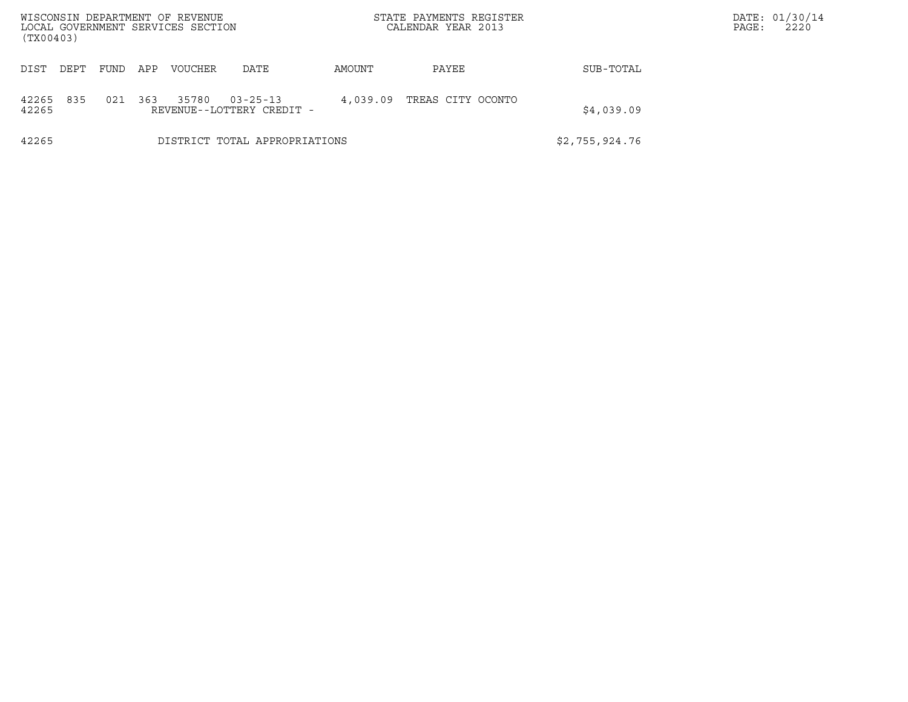| WISCONSIN DEPARTMENT OF REVENUE<br>LOCAL GOVERNMENT SERVICES SECTION<br>(TX00403) |      |     |                |                                             |                | STATE PAYMENTS REGISTER<br>CALENDAR YEAR 2013 |            | DATE: 01/30/14<br>2220<br>PAGE: |
|-----------------------------------------------------------------------------------|------|-----|----------------|---------------------------------------------|----------------|-----------------------------------------------|------------|---------------------------------|
| DIST<br>DEPT                                                                      | FUND | APP | <b>VOUCHER</b> | DATE                                        | AMOUNT         | PAYEE                                         | SUB-TOTAL  |                                 |
| 835<br>42265<br>42265                                                             | 021  | 363 | 35780          | $03 - 25 - 13$<br>REVENUE--LOTTERY CREDIT - | 4,039.09       | TREAS CITY OCONTO                             | \$4,039.09 |                                 |
| 42265                                                                             |      |     |                | DISTRICT TOTAL APPROPRIATIONS               | \$2,755,924.76 |                                               |            |                                 |